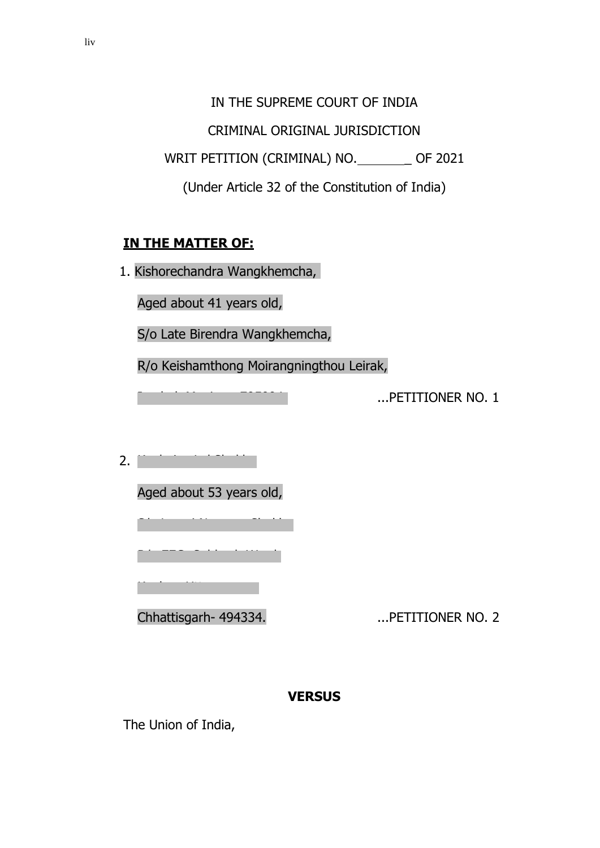IN THE SUPREME COURT OF INDIA

CRIMINAL ORIGINAL JURISDICTION

WRIT PETITION (CRIMINAL) NO. \_\_\_\_\_\_\_ OF 2021

(Under Article 32 of the Constitution of India)

### **IN THE MATTER OF:**

1. Kishorechandra Wangkhemcha,

Aged about 41 years old,

S/o Late Birendra Wangkhemcha,

R/o Keishamthong Moirangningthou Leirak,

...PETITIONER NO. 1

 $2. \Box$ 

Aged about 53 years old,

Chhattisgarh- 494334. ...PETITIONER NO. 2

### **VERSUS**

The Union of India,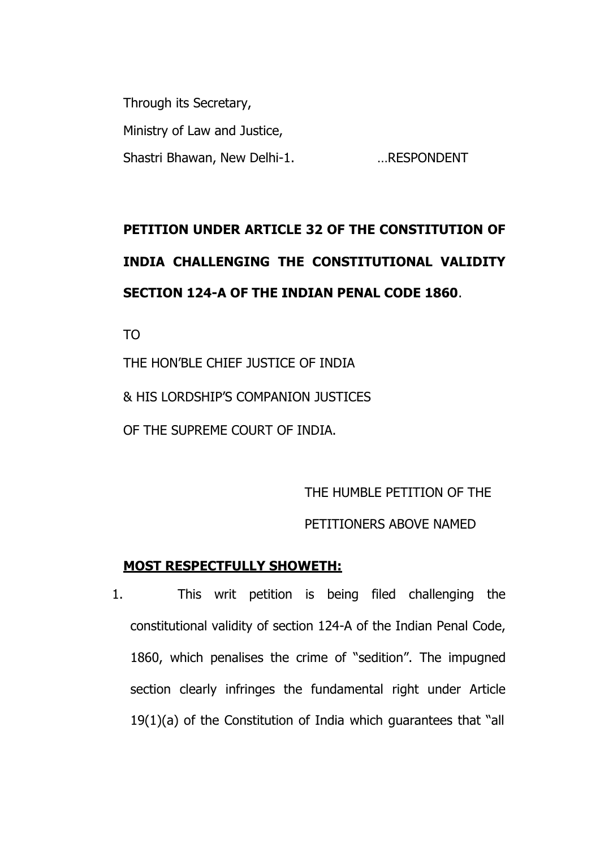Through its Secretary, Ministry of Law and Justice, Shastri Bhawan, New Delhi-1. …RESPONDENT

# **PETITION UNDER ARTICLE 32 OF THE CONSTITUTION OF INDIA CHALLENGING THE CONSTITUTIONAL VALIDITY SECTION 124-A OF THE INDIAN PENAL CODE 1860**.

TO

THE HON'BLE CHIEF JUSTICE OF INDIA & HIS LORDSHIP'S COMPANION JUSTICES OF THE SUPREME COURT OF INDIA.

THE HUMBLE PETITION OF THE

#### PETITIONERS ABOVE NAMED

#### **MOST RESPECTFULLY SHOWETH:**

1. This writ petition is being filed challenging the constitutional validity of section 124-A of the Indian Penal Code, 1860, which penalises the crime of "sedition". The impugned section clearly infringes the fundamental right under Article 19(1)(a) of the Constitution of India which guarantees that "all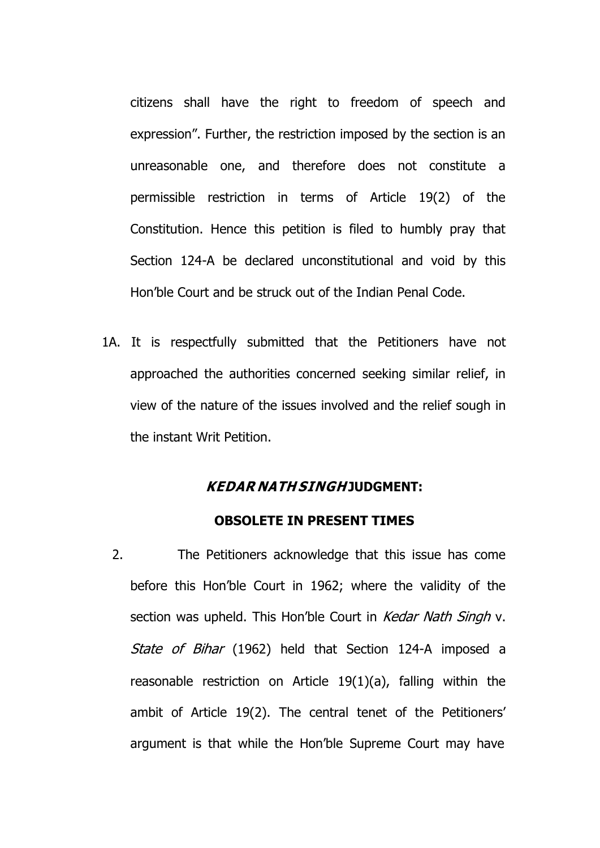citizens shall have the right to freedom of speech and expression". Further, the restriction imposed by the section is an unreasonable one, and therefore does not constitute a permissible restriction in terms of Article 19(2) of the Constitution. Hence this petition is filed to humbly pray that Section 124-A be declared unconstitutional and void by this Hon'ble Court and be struck out of the Indian Penal Code.

1A. It is respectfully submitted that the Petitioners have not approached the authorities concerned seeking similar relief, in view of the nature of the issues involved and the relief sough in the instant Writ Petition.

#### **KEDAR NATH SINGH JUDGMENT:**

#### **OBSOLETE IN PRESENT TIMES**

2. The Petitioners acknowledge that this issue has come before this Hon'ble Court in 1962; where the validity of the section was upheld. This Hon'ble Court in Kedar Nath Singh v. State of Bihar (1962) held that Section 124-A imposed a reasonable restriction on Article 19(1)(a), falling within the ambit of Article 19(2). The central tenet of the Petitioners' argument is that while the Hon'ble Supreme Court may have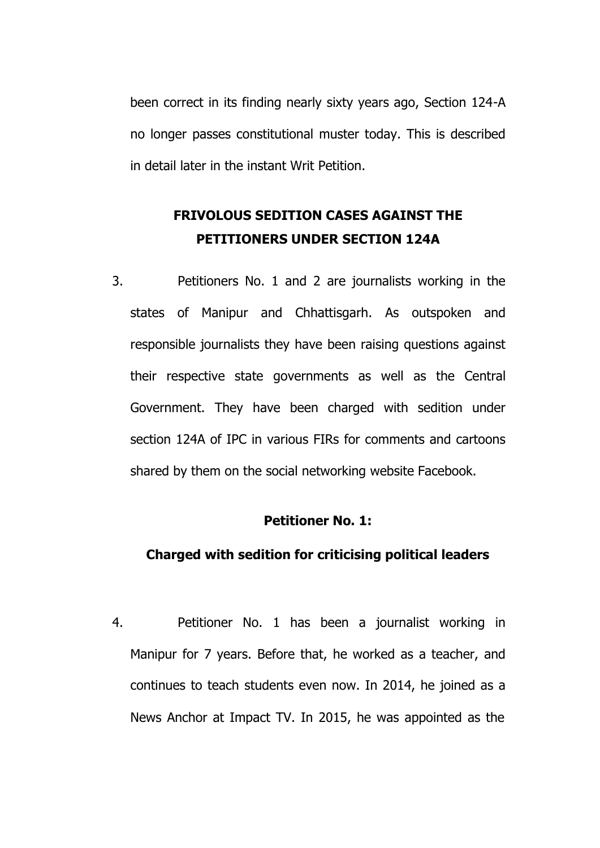been correct in its finding nearly sixty years ago, Section 124-A no longer passes constitutional muster today. This is described in detail later in the instant Writ Petition.

## **FRIVOLOUS SEDITION CASES AGAINST THE PETITIONERS UNDER SECTION 124A**

3. Petitioners No. 1 and 2 are journalists working in the states of Manipur and Chhattisgarh. As outspoken and responsible journalists they have been raising questions against their respective state governments as well as the Central Government. They have been charged with sedition under section 124A of IPC in various FIRs for comments and cartoons shared by them on the social networking website Facebook.

#### **Petitioner No. 1:**

#### **Charged with sedition for criticising political leaders**

4. Petitioner No. 1 has been a journalist working in Manipur for 7 years. Before that, he worked as a teacher, and continues to teach students even now. In 2014, he joined as a News Anchor at Impact TV. In 2015, he was appointed as the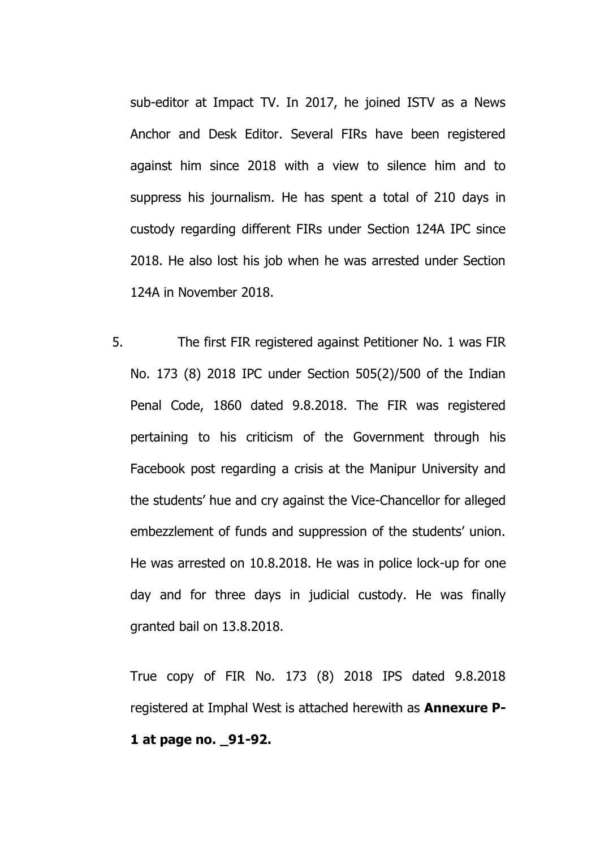sub-editor at Impact TV. In 2017, he joined ISTV as a News Anchor and Desk Editor. Several FIRs have been registered against him since 2018 with a view to silence him and to suppress his journalism. He has spent a total of 210 days in custody regarding different FIRs under Section 124A IPC since 2018. He also lost his job when he was arrested under Section 124A in November 2018.

5. The first FIR registered against Petitioner No. 1 was FIR No. 173 (8) 2018 IPC under Section 505(2)/500 of the Indian Penal Code, 1860 dated 9.8.2018. The FIR was registered pertaining to his criticism of the Government through his Facebook post regarding a crisis at the Manipur University and the students' hue and cry against the Vice-Chancellor for alleged embezzlement of funds and suppression of the students' union. He was arrested on 10.8.2018. He was in police lock-up for one day and for three days in judicial custody. He was finally granted bail on 13.8.2018.

True copy of FIR No. 173 (8) 2018 IPS dated 9.8.2018 registered at Imphal West is attached herewith as **Annexure P-1 at page no. \_91-92.**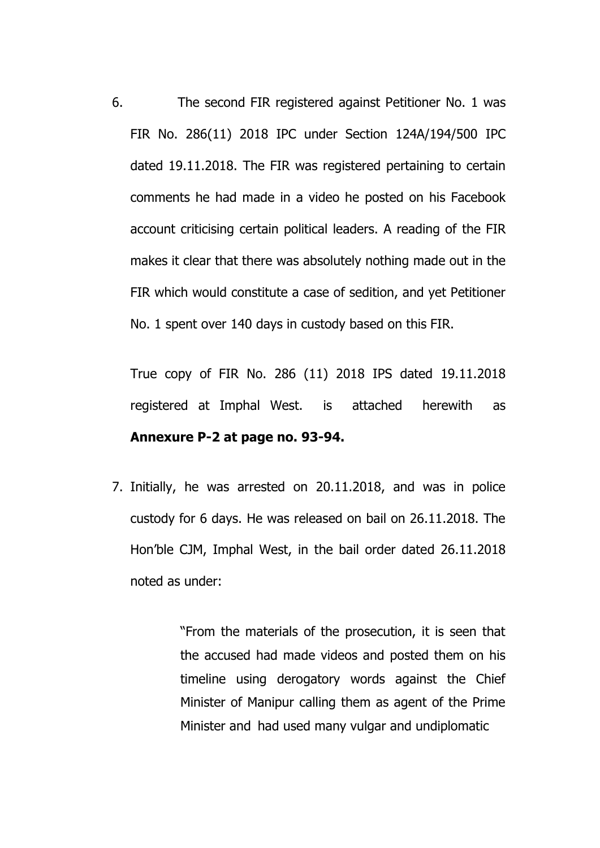6. The second FIR registered against Petitioner No. 1 was FIR No. 286(11) 2018 IPC under Section 124A/194/500 IPC dated 19.11.2018. The FIR was registered pertaining to certain comments he had made in a video he posted on his Facebook account criticising certain political leaders. A reading of the FIR makes it clear that there was absolutely nothing made out in the FIR which would constitute a case of sedition, and yet Petitioner No. 1 spent over 140 days in custody based on this FIR.

True copy of FIR No. 286 (11) 2018 IPS dated 19.11.2018 registered at Imphal West. is attached herewith as **Annexure P-2 at page no. 93-94.**

7. Initially, he was arrested on 20.11.2018, and was in police custody for 6 days. He was released on bail on 26.11.2018. The Hon'ble CJM, Imphal West, in the bail order dated 26.11.2018 noted as under:

> "From the materials of the prosecution, it is seen that the accused had made videos and posted them on his timeline using derogatory words against the Chief Minister of Manipur calling them as agent of the Prime Minister and had used many vulgar and undiplomatic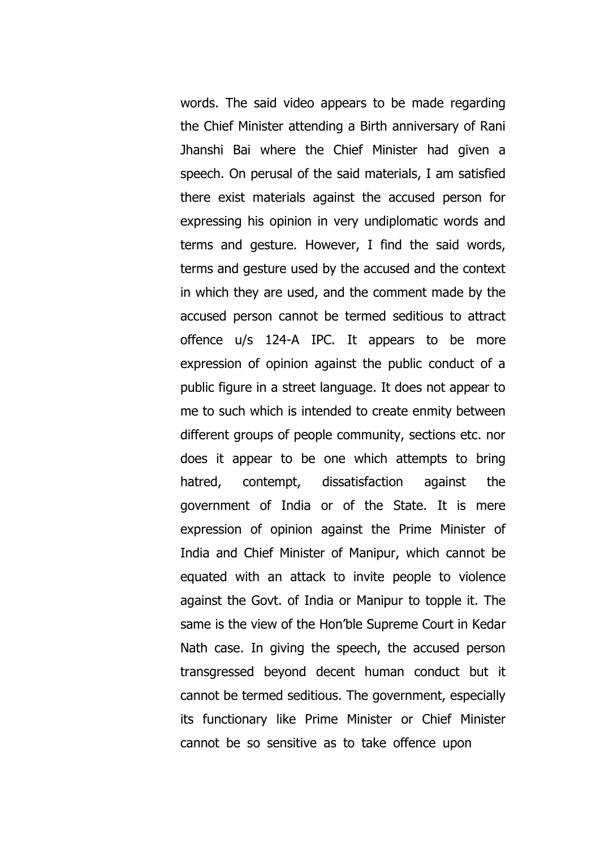words. The said video appears to be made regarding the Chief Minister attending a Birth anniversary of Rani Jhanshi Bai where the Chief Minister had given a speech. On perusal of the said materials, I am satisfied there exist materials against the accused person for expressing his opinion in very undiplomatic words and terms and gesture. However, I find the said words, terms and gesture used by the accused and the context in which they are used, and the comment made by the accused person cannot be termed seditious to attract offence u/s 124-A IPC. It appears to be more expression of opinion against the public conduct of a public figure in a street language. It does not appear to me to such which is intended to create enmity between different groups of people community, sections etc. nor does it appear to be one which attempts to bring hatred, contempt, dissatisfaction against the government of India or of the State. It is mere expression of opinion against the Prime Minister of India and Chief Minister of Manipur, which cannot be equated with an attack to invite people to violence against the Govt. of India or Manipur to topple it. The same is the view of the Hon'ble Supreme Court in Kedar Nath case. In giving the speech, the accused person transgressed beyond decent human conduct but it cannot be termed seditious. The government, especially its functionary like Prime Minister or Chief Minister cannot be so sensitive as to take offence upon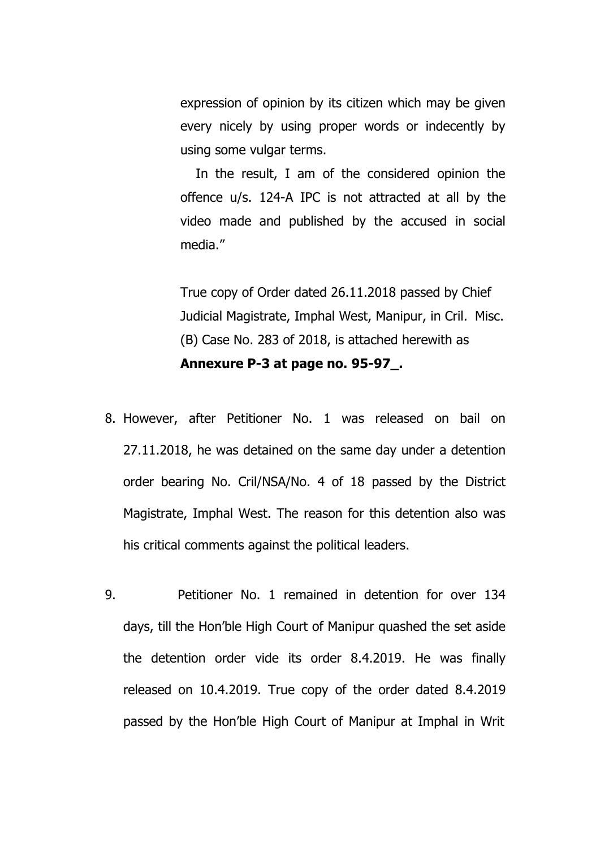expression of opinion by its citizen which may be given every nicely by using proper words or indecently by using some vulgar terms.

In the result, I am of the considered opinion the offence u/s. 124-A IPC is not attracted at all by the video made and published by the accused in social media."

True copy of Order dated 26.11.2018 passed by Chief Judicial Magistrate, Imphal West, Manipur, in Cril. Misc. (B) Case No. 283 of 2018, is attached herewith as **Annexure P-3 at page no. 95-97\_.**

- 8. However, after Petitioner No. 1 was released on bail on 27.11.2018, he was detained on the same day under a detention order bearing No. Cril/NSA/No. 4 of 18 passed by the District Magistrate, Imphal West. The reason for this detention also was his critical comments against the political leaders.
- 9. Petitioner No. 1 remained in detention for over 134 days, till the Hon'ble High Court of Manipur quashed the set aside the detention order vide its order 8.4.2019. He was finally released on 10.4.2019. True copy of the order dated 8.4.2019 passed by the Hon'ble High Court of Manipur at Imphal in Writ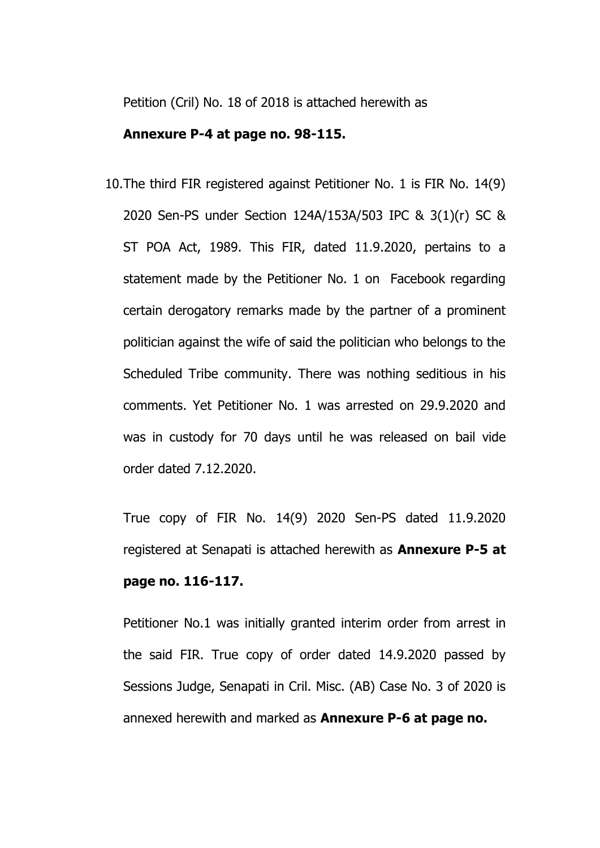Petition (Cril) No. 18 of 2018 is attached herewith as

#### **Annexure P-4 at page no. 98-115.**

10.The third FIR registered against Petitioner No. 1 is FIR No. 14(9) 2020 Sen-PS under Section 124A/153A/503 IPC & 3(1)(r) SC & ST POA Act, 1989. This FIR, dated 11.9.2020, pertains to a statement made by the Petitioner No. 1 on Facebook regarding certain derogatory remarks made by the partner of a prominent politician against the wife of said the politician who belongs to the Scheduled Tribe community. There was nothing seditious in his comments. Yet Petitioner No. 1 was arrested on 29.9.2020 and was in custody for 70 days until he was released on bail vide order dated 7.12.2020.

True copy of FIR No. 14(9) 2020 Sen-PS dated 11.9.2020 registered at Senapati is attached herewith as **Annexure P-5 at page no. 116-117.**

Petitioner No.1 was initially granted interim order from arrest in the said FIR. True copy of order dated 14.9.2020 passed by Sessions Judge, Senapati in Cril. Misc. (AB) Case No. 3 of 2020 is annexed herewith and marked as **Annexure P-6 at page no.**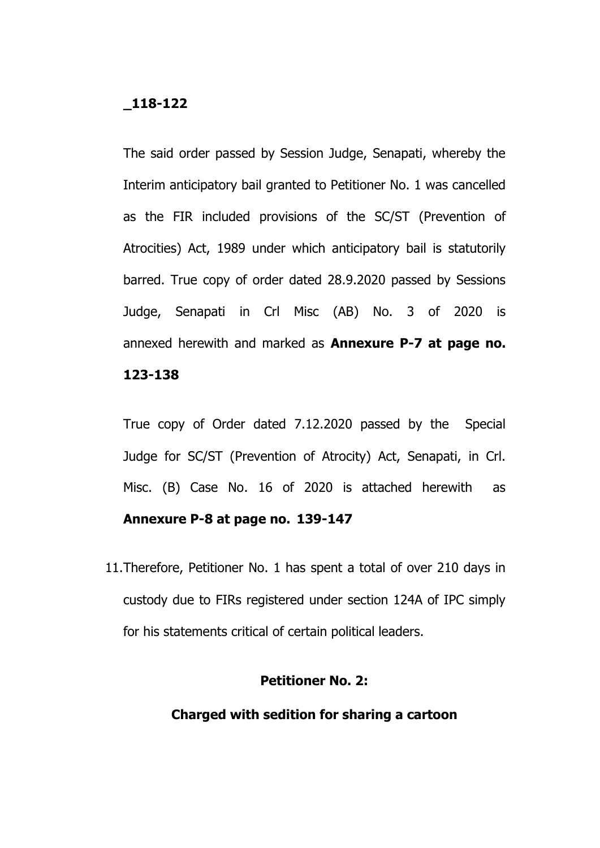#### **\_118-122**

The said order passed by Session Judge, Senapati, whereby the Interim anticipatory bail granted to Petitioner No. 1 was cancelled as the FIR included provisions of the SC/ST (Prevention of Atrocities) Act, 1989 under which anticipatory bail is statutorily barred. True copy of order dated 28.9.2020 passed by Sessions Judge, Senapati in Crl Misc (AB) No. 3 of 2020 is annexed herewith and marked as **Annexure P-7 at page no. 123-138**

True copy of Order dated 7.12.2020 passed by the Special Judge for SC/ST (Prevention of Atrocity) Act, Senapati, in Crl. Misc. (B) Case No. 16 of 2020 is attached herewith as **Annexure P-8 at page no. 139-147**

11.Therefore, Petitioner No. 1 has spent a total of over 210 days in custody due to FIRs registered under section 124A of IPC simply for his statements critical of certain political leaders.

#### **Petitioner No. 2:**

#### **Charged with sedition for sharing a cartoon**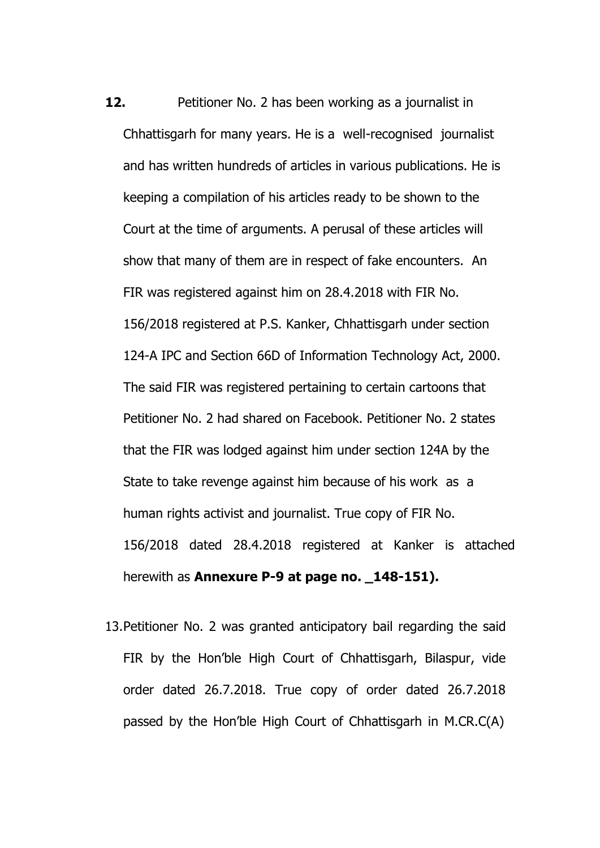- **12.** Petitioner No. 2 has been working as a journalist in Chhattisgarh for many years. He is a well-recognised journalist and has written hundreds of articles in various publications. He is keeping a compilation of his articles ready to be shown to the Court at the time of arguments. A perusal of these articles will show that many of them are in respect of fake encounters. An FIR was registered against him on 28.4.2018 with FIR No. 156/2018 registered at P.S. Kanker, Chhattisgarh under section 124-A IPC and Section 66D of Information Technology Act, 2000. The said FIR was registered pertaining to certain cartoons that Petitioner No. 2 had shared on Facebook. Petitioner No. 2 states that the FIR was lodged against him under section 124A by the State to take revenge against him because of his work as a human rights activist and journalist. True copy of FIR No. 156/2018 dated 28.4.2018 registered at Kanker is attached herewith as **Annexure P-9 at page no. \_148-151).**
- 13.Petitioner No. 2 was granted anticipatory bail regarding the said FIR by the Hon'ble High Court of Chhattisgarh, Bilaspur, vide order dated 26.7.2018. True copy of order dated 26.7.2018 passed by the Hon'ble High Court of Chhattisgarh in M.CR.C(A)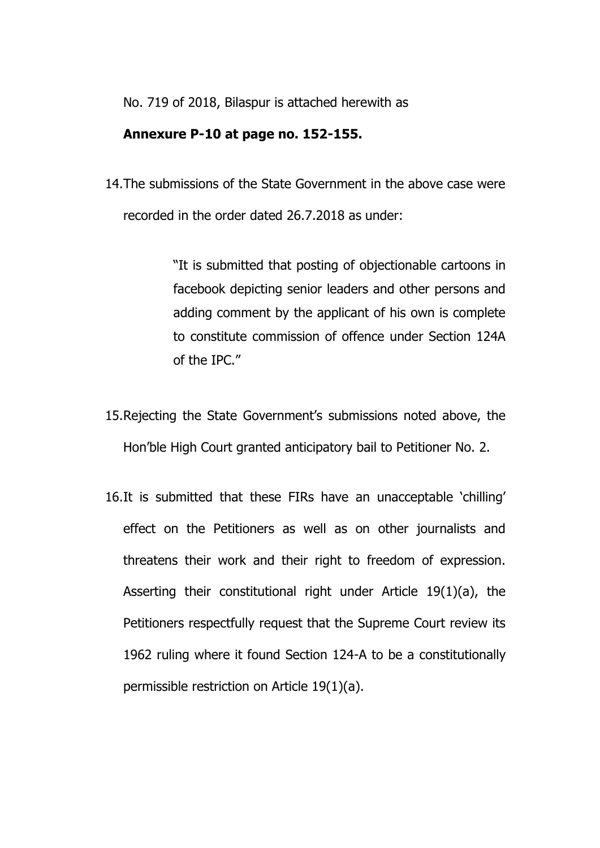No. 719 of 2018, Bilaspur is attached herewith as

#### **Annexure P-10 at page no. 152-155.**

14.The submissions of the State Government in the above case were recorded in the order dated 26.7.2018 as under:

> "It is submitted that posting of objectionable cartoons in facebook depicting senior leaders and other persons and adding comment by the applicant of his own is complete to constitute commission of offence under Section 124A of the IPC."

- 15.Rejecting the State Government's submissions noted above, the Hon'ble High Court granted anticipatory bail to Petitioner No. 2.
- 16.It is submitted that these FIRs have an unacceptable 'chilling' effect on the Petitioners as well as on other journalists and threatens their work and their right to freedom of expression. Asserting their constitutional right under Article 19(1)(a), the Petitioners respectfully request that the Supreme Court review its 1962 ruling where it found Section 124-A to be a constitutionally permissible restriction on Article 19(1)(a).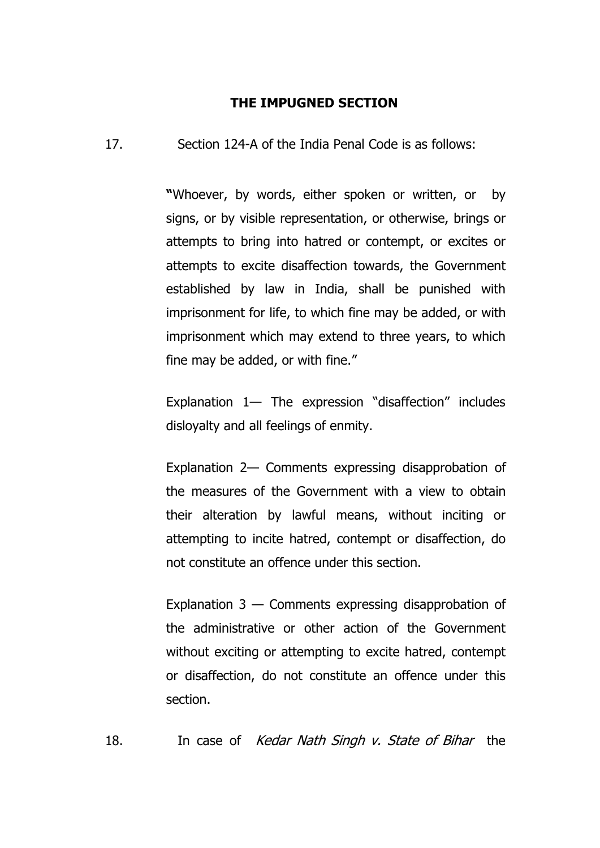#### **THE IMPUGNED SECTION**

17. Section 124-A of the India Penal Code is as follows:

**"**Whoever, by words, either spoken or written, or by signs, or by visible representation, or otherwise, brings or attempts to bring into hatred or contempt, or excites or attempts to excite disaffection towards, the Government established by law in India, shall be punished with imprisonment for life, to which fine may be added, or with imprisonment which may extend to three years, to which fine may be added, or with fine."

Explanation 1— The expression "disaffection" includes disloyalty and all feelings of enmity.

Explanation 2— Comments expressing disapprobation of the measures of the Government with a view to obtain their alteration by lawful means, without inciting or attempting to incite hatred, contempt or disaffection, do not constitute an offence under this section.

Explanation  $3 -$  Comments expressing disapprobation of the administrative or other action of the Government without exciting or attempting to excite hatred, contempt or disaffection, do not constitute an offence under this section.

18. In case of *Kedar Nath Singh v. State of Bihar* the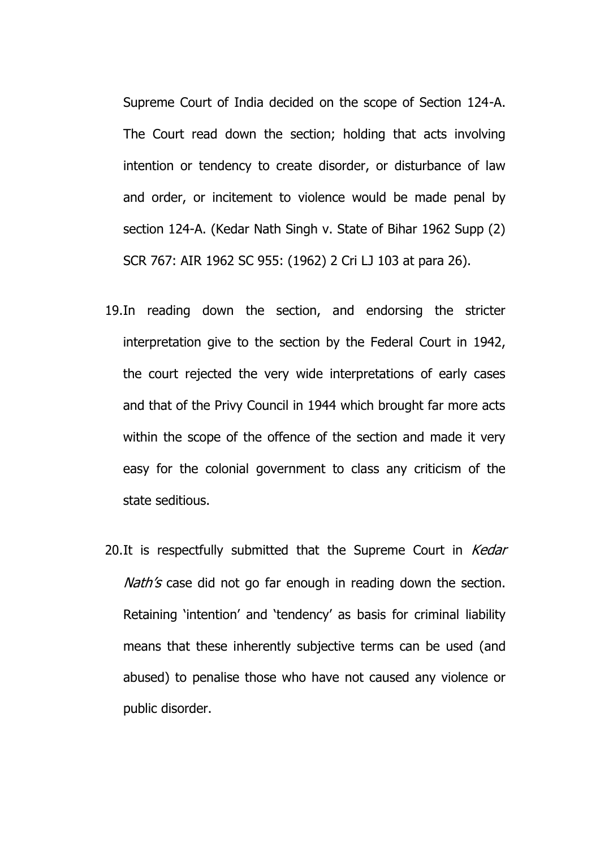Supreme Court of India decided on the scope of Section 124-A. The Court read down the section; holding that acts involving intention or tendency to create disorder, or disturbance of law and order, or incitement to violence would be made penal by section 124-A. (Kedar Nath Singh v. State of Bihar 1962 Supp (2) SCR 767: AIR 1962 SC 955: (1962) 2 Cri LJ 103 at para 26).

- 19.In reading down the section, and endorsing the stricter interpretation give to the section by the Federal Court in 1942, the court rejected the very wide interpretations of early cases and that of the Privy Council in 1944 which brought far more acts within the scope of the offence of the section and made it very easy for the colonial government to class any criticism of the state seditious.
- 20.It is respectfully submitted that the Supreme Court in Kedar Nath's case did not go far enough in reading down the section. Retaining 'intention' and 'tendency' as basis for criminal liability means that these inherently subjective terms can be used (and abused) to penalise those who have not caused any violence or public disorder.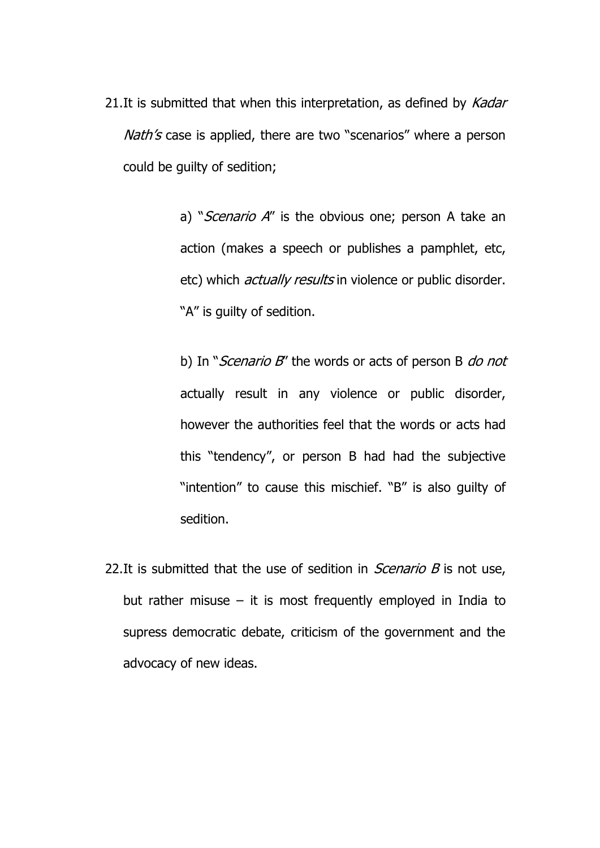21.It is submitted that when this interpretation, as defined by Kadar Nath's case is applied, there are two "scenarios" where a person could be guilty of sedition;

> a) "Scenario A" is the obvious one; person A take an action (makes a speech or publishes a pamphlet, etc, etc) which *actually results* in violence or public disorder. "A" is guilty of sedition.

> b) In "Scenario B" the words or acts of person B do not actually result in any violence or public disorder, however the authorities feel that the words or acts had this "tendency", or person B had had the subjective "intention" to cause this mischief. "B" is also guilty of sedition.

22. It is submitted that the use of sedition in *Scenario B* is not use, but rather misuse  $-$  it is most frequently employed in India to supress democratic debate, criticism of the government and the advocacy of new ideas.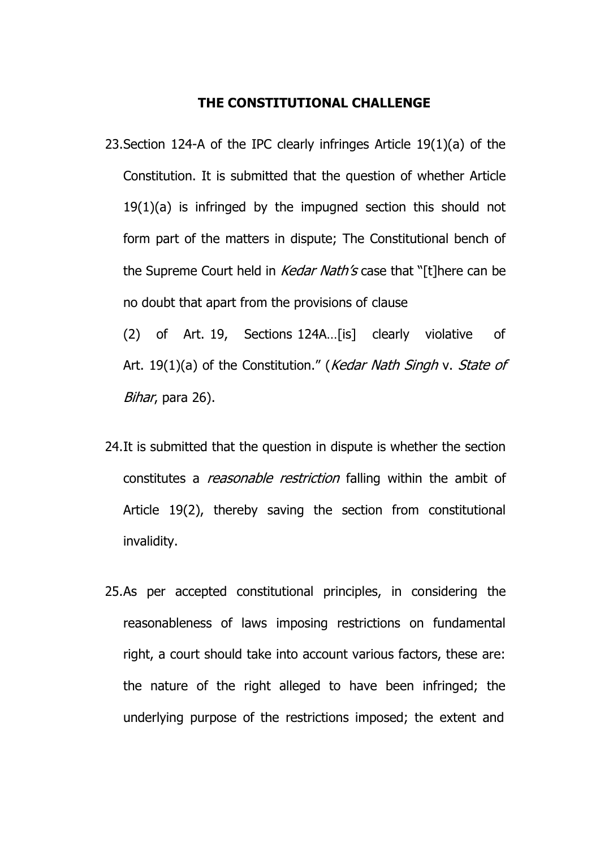#### **THE CONSTITUTIONAL CHALLENGE**

23.Section 124-A of the IPC clearly infringes Article 19(1)(a) of the Constitution. It is submitted that the question of whether Article 19(1)(a) is infringed by the impugned section this should not form part of the matters in dispute; The Constitutional bench of the Supreme Court held in *Kedar Nath's* case that "[t]here can be no doubt that apart from the provisions of clause

(2) of Art. 19, Sections 124A…[is] clearly violative of Art. 19(1)(a) of the Constitution." (*Kedar Nath Singh* v. *State of* Bihar, para 26).

- 24.It is submitted that the question in dispute is whether the section constitutes a *reasonable restriction* falling within the ambit of Article 19(2), thereby saving the section from constitutional invalidity.
- 25.As per accepted constitutional principles, in considering the reasonableness of laws imposing restrictions on fundamental right, a court should take into account various factors, these are: the nature of the right alleged to have been infringed; the underlying purpose of the restrictions imposed; the extent and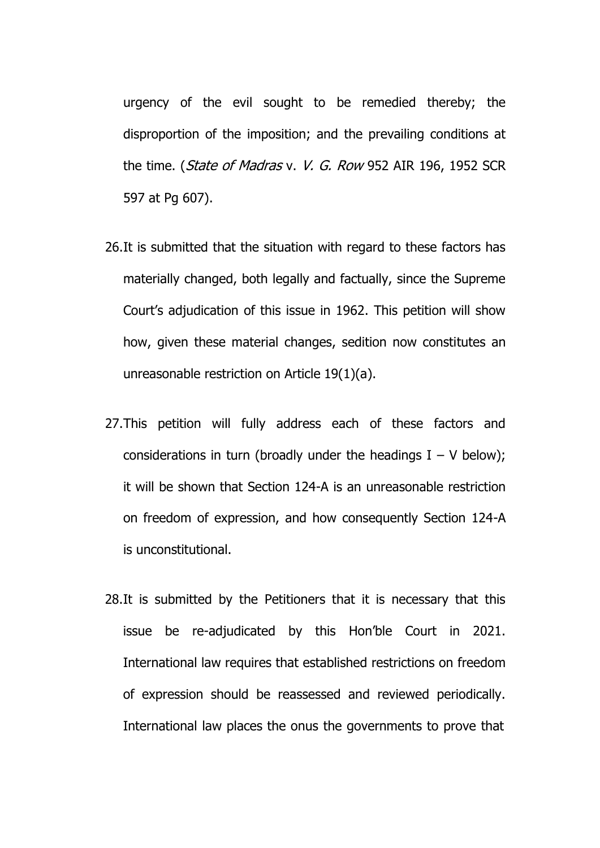urgency of the evil sought to be remedied thereby; the disproportion of the imposition; and the prevailing conditions at the time. (State of Madras v. V. G. Row 952 AIR 196, 1952 SCR 597 at Pg 607).

- 26.It is submitted that the situation with regard to these factors has materially changed, both legally and factually, since the Supreme Court's adjudication of this issue in 1962. This petition will show how, given these material changes, sedition now constitutes an unreasonable restriction on Article 19(1)(a).
- 27.This petition will fully address each of these factors and considerations in turn (broadly under the headings  $I - V$  below); it will be shown that Section 124-A is an unreasonable restriction on freedom of expression, and how consequently Section 124-A is unconstitutional.
- 28.It is submitted by the Petitioners that it is necessary that this issue be re-adjudicated by this Hon'ble Court in 2021. International law requires that established restrictions on freedom of expression should be reassessed and reviewed periodically. International law places the onus the governments to prove that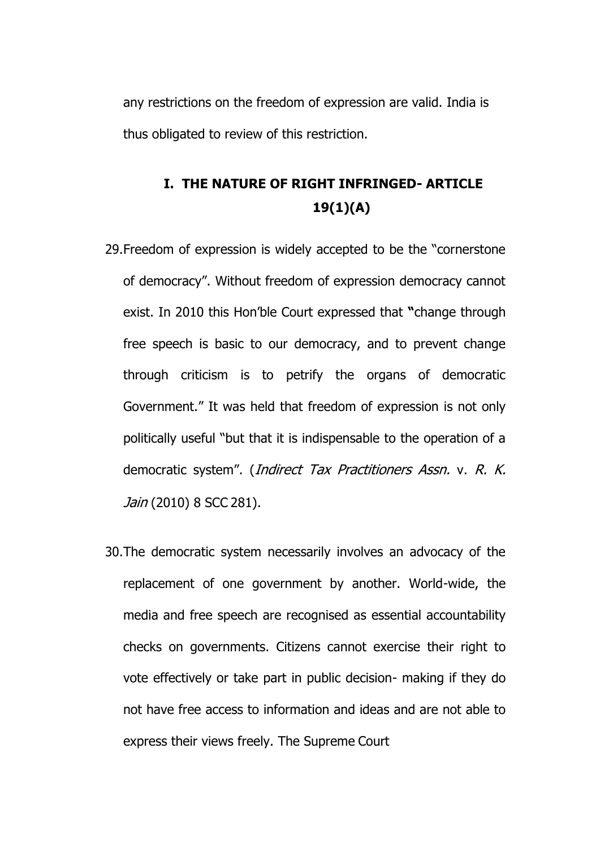any restrictions on the freedom of expression are valid. India is thus obligated to review of this restriction.

## **I. THE NATURE OF RIGHT INFRINGED- ARTICLE 19(1)(A)**

- 29.Freedom of expression is widely accepted to be the "cornerstone of democracy". Without freedom of expression democracy cannot exist. In 2010 this Hon'ble Court expressed that **"**change through free speech is basic to our democracy, and to prevent change through criticism is to petrify the organs of democratic Government." It was held that freedom of expression is not only politically useful "but that it is indispensable to the operation of a democratic system". (*Indirect Tax Practitioners Assn.* v. R. K. Jain (2010) 8 SCC 281).
- 30.The democratic system necessarily involves an advocacy of the replacement of one government by another. World-wide, the media and free speech are recognised as essential accountability checks on governments. Citizens cannot exercise their right to vote effectively or take part in public decision- making if they do not have free access to information and ideas and are not able to express their views freely. The Supreme Court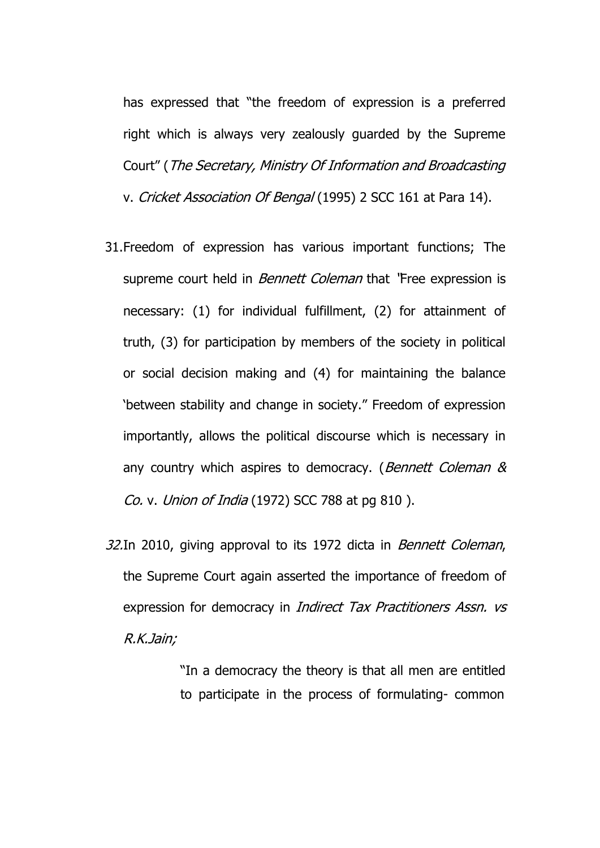has expressed that "the freedom of expression is a preferred right which is always very zealously guarded by the Supreme Court" (The Secretary, Ministry Of Information and Broadcasting v. Cricket Association Of Bengal (1995) 2 SCC 161 at Para 14).

- 31.Freedom of expression has various important functions; The supreme court held in *Bennett Coleman* that 'Free expression is necessary: (1) for individual fulfillment, (2) for attainment of truth, (3) for participation by members of the society in political or social decision making and (4) for maintaining the balance 'between stability and change in society." Freedom of expression importantly, allows the political discourse which is necessary in any country which aspires to democracy. (Bennett Coleman & Co. v. Union of India (1972) SCC 788 at pg 810 ).
- 32.In 2010, giving approval to its 1972 dicta in *Bennett Coleman*, the Supreme Court again asserted the importance of freedom of expression for democracy in *Indirect Tax Practitioners Assn. vs* R.K.Jain;

"In a democracy the theory is that all men are entitled to participate in the process of formulating- common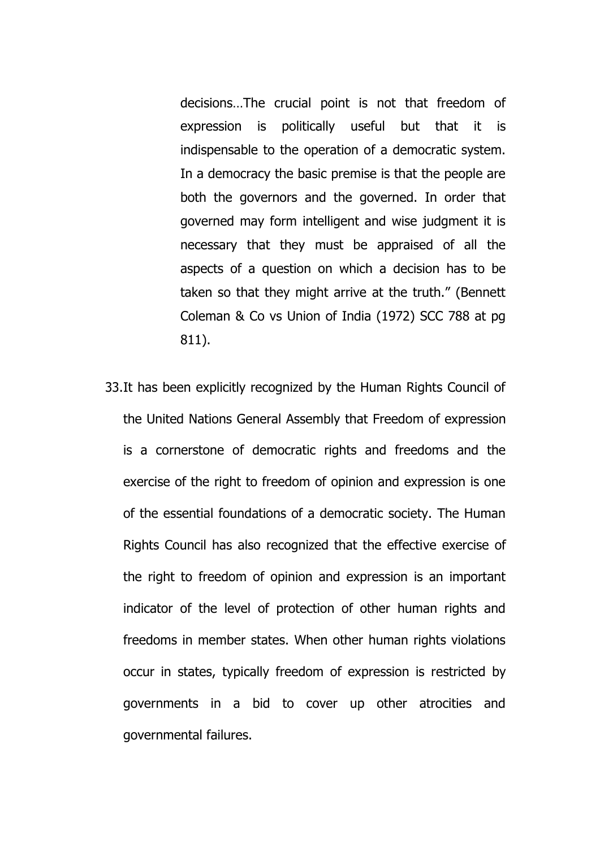decisions…The crucial point is not that freedom of expression is politically useful but that it is indispensable to the operation of a democratic system. In a democracy the basic premise is that the people are both the governors and the governed. In order that governed may form intelligent and wise judgment it is necessary that they must be appraised of all the aspects of a question on which a decision has to be taken so that they might arrive at the truth." (Bennett Coleman & Co vs Union of India (1972) SCC 788 at pg 811).

33.It has been explicitly recognized by the Human Rights Council of the United Nations General Assembly that Freedom of expression is a cornerstone of democratic rights and freedoms and the exercise of the right to freedom of opinion and expression is one of the essential foundations of a democratic society. The Human Rights Council has also recognized that the effective exercise of the right to freedom of opinion and expression is an important indicator of the level of protection of other human rights and freedoms in member states. When other human rights violations occur in states, typically freedom of expression is restricted by governments in a bid to cover up other atrocities and governmental failures.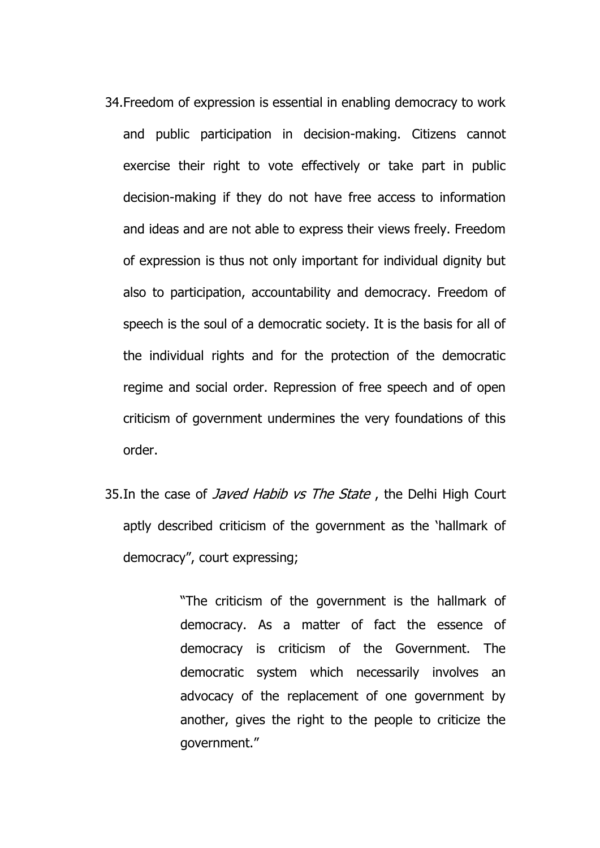- 34.Freedom of expression is essential in enabling democracy to work and public participation in decision-making. Citizens cannot exercise their right to vote effectively or take part in public decision-making if they do not have free access to information and ideas and are not able to express their views freely. Freedom of expression is thus not only important for individual dignity but also to participation, accountability and democracy. Freedom of speech is the soul of a democratic society. It is the basis for all of the individual rights and for the protection of the democratic regime and social order. Repression of free speech and of open criticism of government undermines the very foundations of this order.
- 35.In the case of *Javed Habib vs The State*, the Delhi High Court aptly described criticism of the government as the 'hallmark of democracy", court expressing;

"The criticism of the government is the hallmark of democracy. As a matter of fact the essence of democracy is criticism of the Government. The democratic system which necessarily involves an advocacy of the replacement of one government by another, gives the right to the people to criticize the government."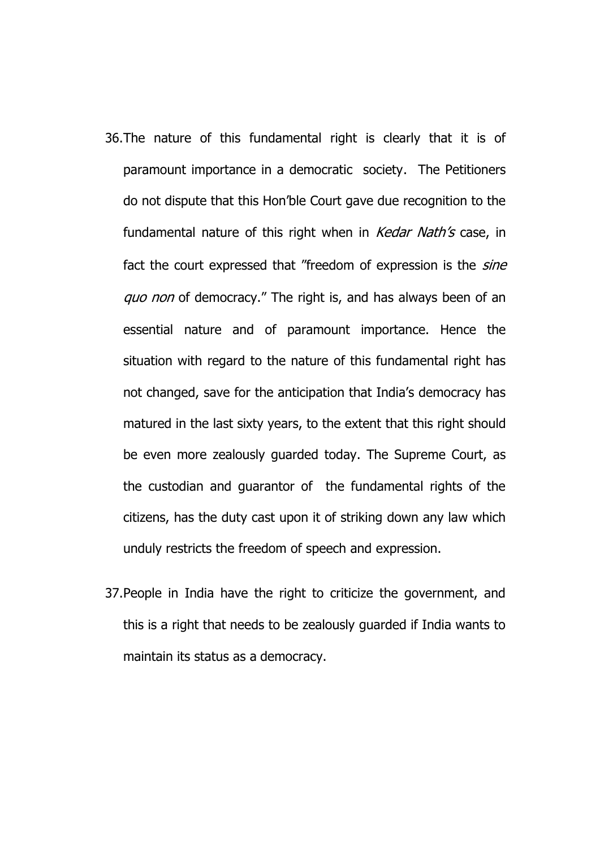- 36.The nature of this fundamental right is clearly that it is of paramount importance in a democratic society. The Petitioners do not dispute that this Hon'ble Court gave due recognition to the fundamental nature of this right when in *Kedar Nath's* case, in fact the court expressed that "freedom of expression is the *sine* quo non of democracy." The right is, and has always been of an essential nature and of paramount importance. Hence the situation with regard to the nature of this fundamental right has not changed, save for the anticipation that India's democracy has matured in the last sixty years, to the extent that this right should be even more zealously guarded today. The Supreme Court, as the custodian and guarantor of the fundamental rights of the citizens, has the duty cast upon it of striking down any law which unduly restricts the freedom of speech and expression.
- 37.People in India have the right to criticize the government, and this is a right that needs to be zealously guarded if India wants to maintain its status as a democracy.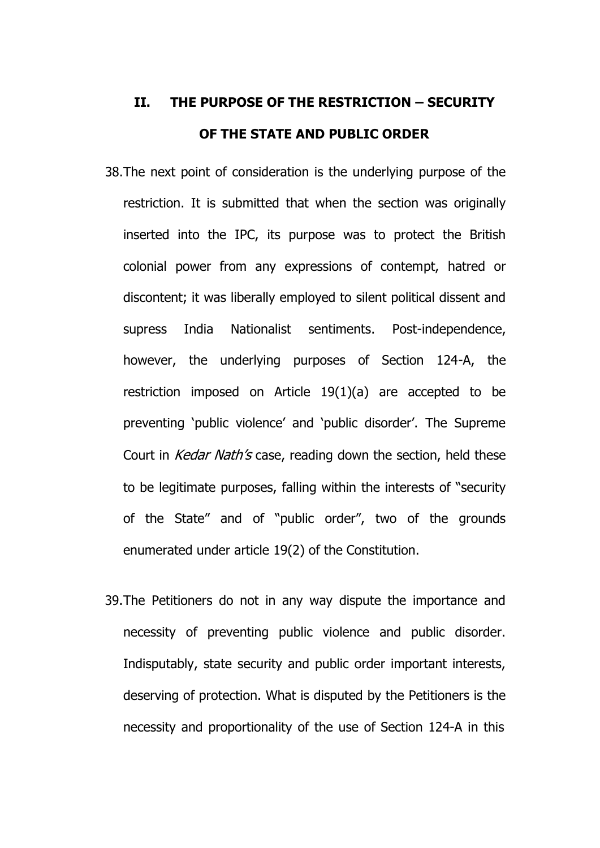# **II. THE PURPOSE OF THE RESTRICTION – SECURITY OF THE STATE AND PUBLIC ORDER**

- 38.The next point of consideration is the underlying purpose of the restriction. It is submitted that when the section was originally inserted into the IPC, its purpose was to protect the British colonial power from any expressions of contempt, hatred or discontent; it was liberally employed to silent political dissent and supress India Nationalist sentiments. Post-independence, however, the underlying purposes of Section 124-A, the restriction imposed on Article 19(1)(a) are accepted to be preventing 'public violence' and 'public disorder'. The Supreme Court in *Kedar Nath's* case, reading down the section, held these to be legitimate purposes, falling within the interests of "security of the State" and of "public order", two of the grounds enumerated under article 19(2) of the Constitution.
- 39.The Petitioners do not in any way dispute the importance and necessity of preventing public violence and public disorder. Indisputably, state security and public order important interests, deserving of protection. What is disputed by the Petitioners is the necessity and proportionality of the use of Section 124-A in this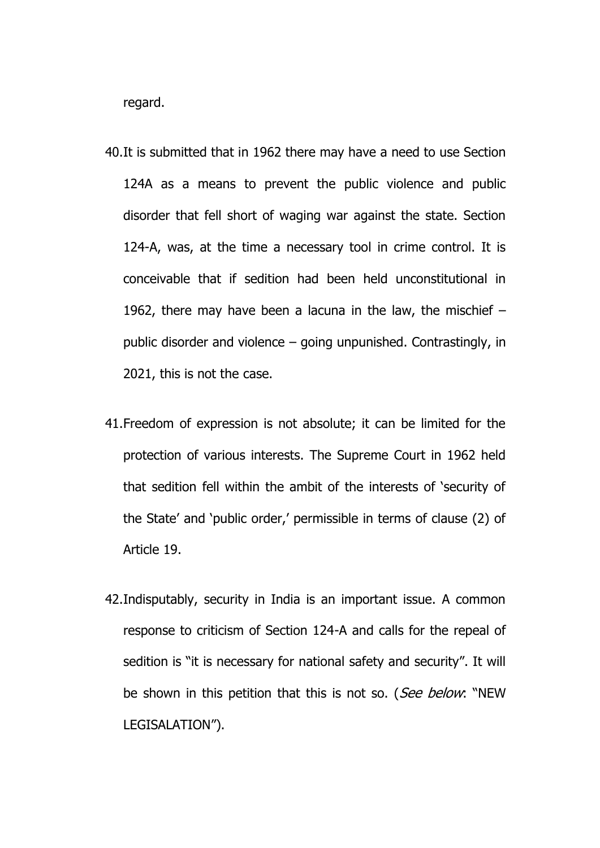regard.

- 40.It is submitted that in 1962 there may have a need to use Section 124A as a means to prevent the public violence and public disorder that fell short of waging war against the state. Section 124-A, was, at the time a necessary tool in crime control. It is conceivable that if sedition had been held unconstitutional in 1962, there may have been a lacuna in the law, the mischief – public disorder and violence – going unpunished. Contrastingly, in 2021, this is not the case.
- 41.Freedom of expression is not absolute; it can be limited for the protection of various interests. The Supreme Court in 1962 held that sedition fell within the ambit of the interests of 'security of the State' and 'public order,' permissible in terms of clause (2) of Article 19.
- 42.Indisputably, security in India is an important issue. A common response to criticism of Section 124-A and calls for the repeal of sedition is "it is necessary for national safety and security". It will be shown in this petition that this is not so. (See below: "NEW LEGISALATION").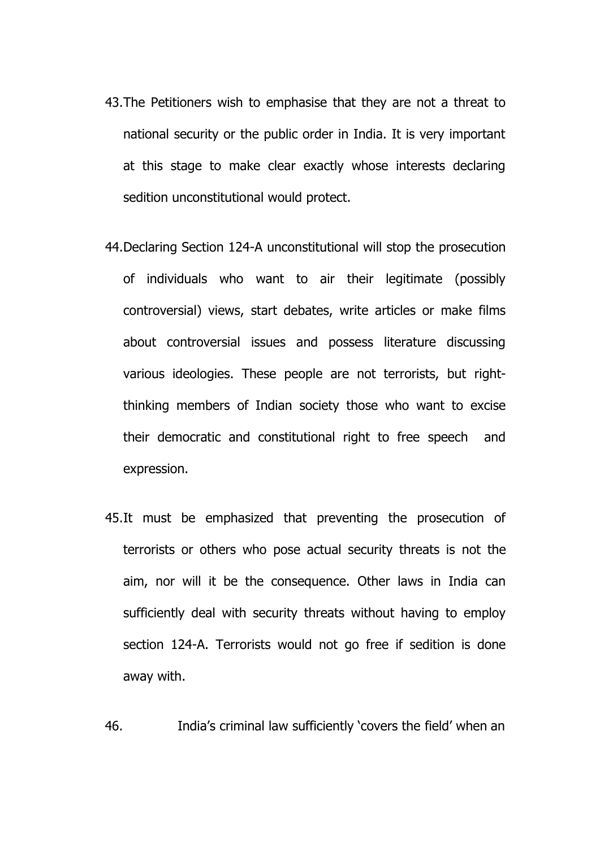- 43.The Petitioners wish to emphasise that they are not a threat to national security or the public order in India. It is very important at this stage to make clear exactly whose interests declaring sedition unconstitutional would protect.
- 44.Declaring Section 124-A unconstitutional will stop the prosecution of individuals who want to air their legitimate (possibly controversial) views, start debates, write articles or make films about controversial issues and possess literature discussing various ideologies. These people are not terrorists, but rightthinking members of Indian society those who want to excise their democratic and constitutional right to free speech and expression.
- 45.It must be emphasized that preventing the prosecution of terrorists or others who pose actual security threats is not the aim, nor will it be the consequence. Other laws in India can sufficiently deal with security threats without having to employ section 124-A. Terrorists would not go free if sedition is done away with.

46. India's criminal law sufficiently 'covers the field' when an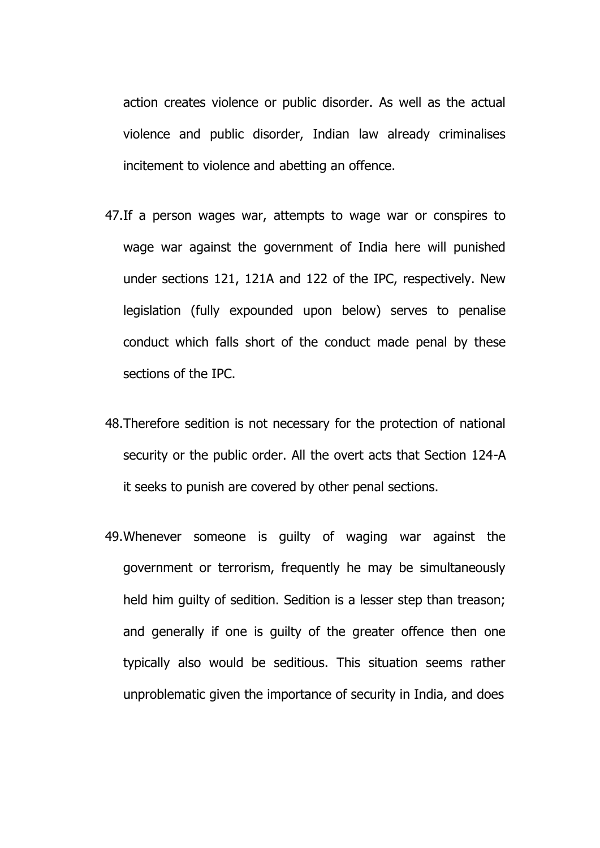action creates violence or public disorder. As well as the actual violence and public disorder, Indian law already criminalises incitement to violence and abetting an offence.

- 47.If a person wages war, attempts to wage war or conspires to wage war against the government of India here will punished under sections 121, 121A and 122 of the IPC, respectively. New legislation (fully expounded upon below) serves to penalise conduct which falls short of the conduct made penal by these sections of the IPC.
- 48.Therefore sedition is not necessary for the protection of national security or the public order. All the overt acts that Section 124-A it seeks to punish are covered by other penal sections.
- 49.Whenever someone is guilty of waging war against the government or terrorism, frequently he may be simultaneously held him guilty of sedition. Sedition is a lesser step than treason; and generally if one is guilty of the greater offence then one typically also would be seditious. This situation seems rather unproblematic given the importance of security in India, and does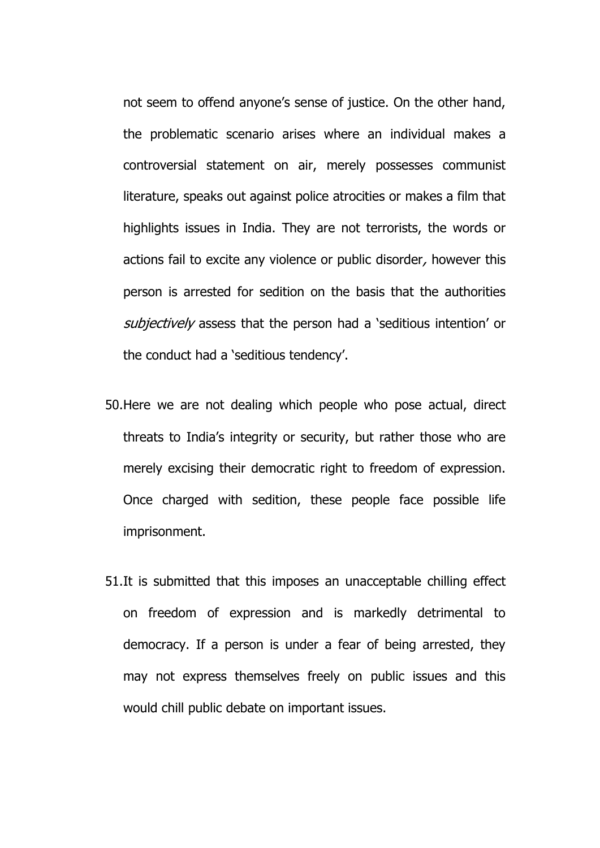not seem to offend anyone's sense of justice. On the other hand, the problematic scenario arises where an individual makes a controversial statement on air, merely possesses communist literature, speaks out against police atrocities or makes a film that highlights issues in India. They are not terrorists, the words or actions fail to excite any violence or public disorder, however this person is arrested for sedition on the basis that the authorities subjectively assess that the person had a 'seditious intention' or the conduct had a 'seditious tendency'.

- 50.Here we are not dealing which people who pose actual, direct threats to India's integrity or security, but rather those who are merely excising their democratic right to freedom of expression. Once charged with sedition, these people face possible life imprisonment.
- 51.It is submitted that this imposes an unacceptable chilling effect on freedom of expression and is markedly detrimental to democracy. If a person is under a fear of being arrested, they may not express themselves freely on public issues and this would chill public debate on important issues.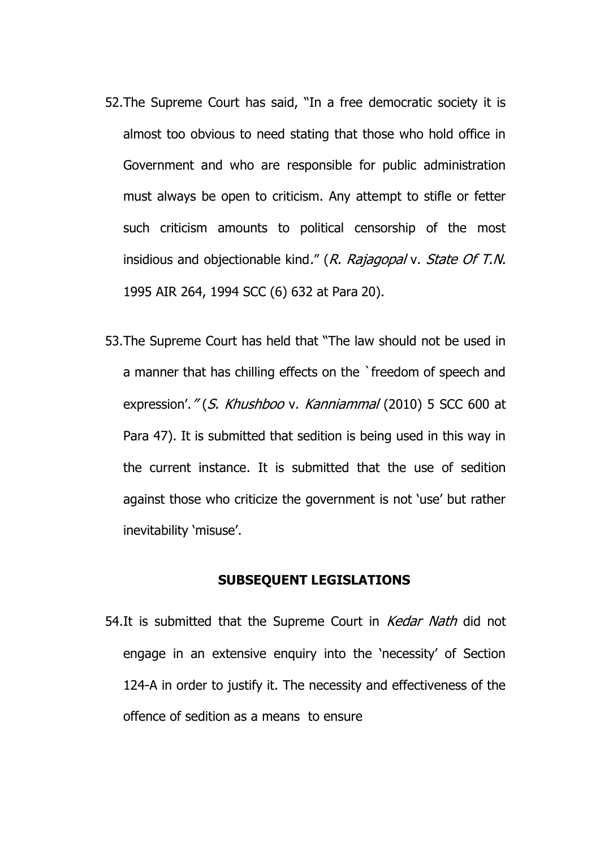- 52.The Supreme Court has said, "In a free democratic society it is almost too obvious to need stating that those who hold office in Government and who are responsible for public administration must always be open to criticism. Any attempt to stifle or fetter such criticism amounts to political censorship of the most insidious and objectionable kind." (R. Rajagopal v. State Of T.N. 1995 AIR 264, 1994 SCC (6) 632 at Para 20).
- 53.The Supreme Court has held that "The law should not be used in a manner that has chilling effects on the `freedom of speech and expression'." (S. Khushboo v. Kanniammal (2010) 5 SCC 600 at Para 47). It is submitted that sedition is being used in this way in the current instance. It is submitted that the use of sedition against those who criticize the government is not 'use' but rather inevitability 'misuse'.

#### **SUBSEQUENT LEGISLATIONS**

54.It is submitted that the Supreme Court in *Kedar Nath* did not engage in an extensive enquiry into the 'necessity' of Section 124-A in order to justify it. The necessity and effectiveness of the offence of sedition as a means to ensure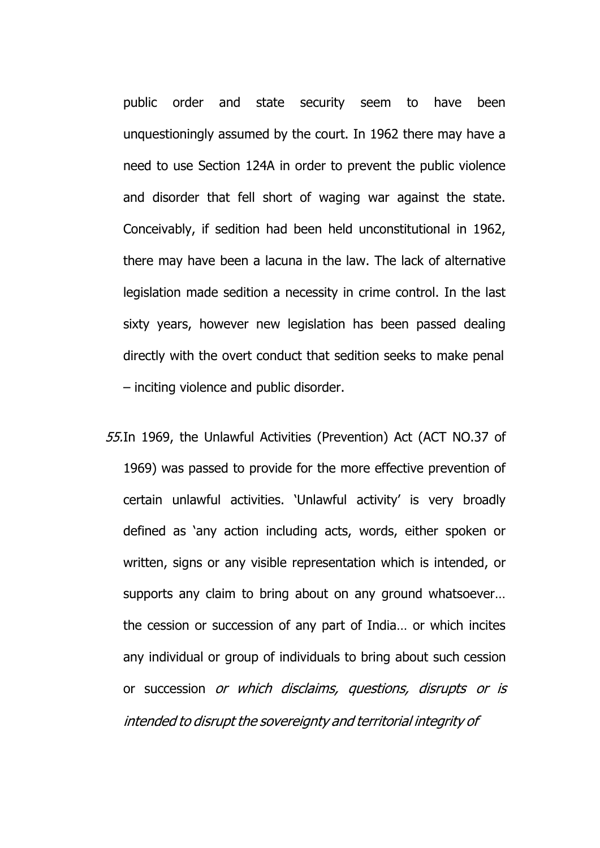public order and state security seem to have been unquestioningly assumed by the court. In 1962 there may have a need to use Section 124A in order to prevent the public violence and disorder that fell short of waging war against the state. Conceivably, if sedition had been held unconstitutional in 1962, there may have been a lacuna in the law. The lack of alternative legislation made sedition a necessity in crime control. In the last sixty years, however new legislation has been passed dealing directly with the overt conduct that sedition seeks to make penal – inciting violence and public disorder.

55.In 1969, the Unlawful Activities (Prevention) Act (ACT NO.37 of 1969) was passed to provide for the more effective prevention of certain unlawful activities. 'Unlawful activity' is very broadly defined as 'any action including acts, words, either spoken or written, signs or any visible representation which is intended, or supports any claim to bring about on any ground whatsoever… the cession or succession of any part of India… or which incites any individual or group of individuals to bring about such cession or succession or which disclaims, questions, disrupts or is intended to disrupt the sovereignty and territorial integrity of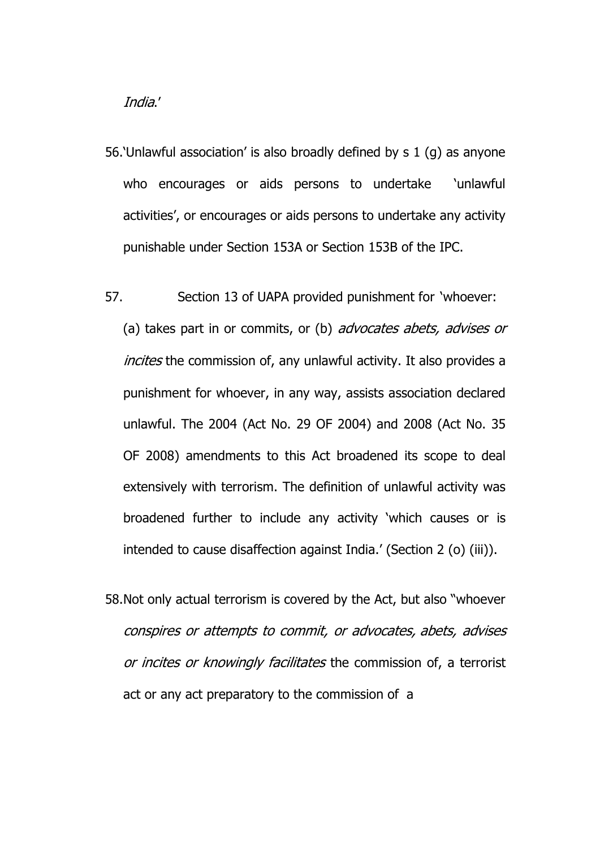India.'

- 56.'Unlawful association' is also broadly defined by s 1 (g) as anyone who encourages or aids persons to undertake 'unlawful activities', or encourages or aids persons to undertake any activity punishable under Section 153A or Section 153B of the IPC.
- 57. Section 13 of UAPA provided punishment for 'whoever: (a) takes part in or commits, or (b) *advocates abets, advises or* incites the commission of, any unlawful activity. It also provides a punishment for whoever, in any way, assists association declared unlawful. The 2004 (Act No. 29 OF 2004) and 2008 (Act No. 35 OF 2008) amendments to this Act broadened its scope to deal extensively with terrorism. The definition of unlawful activity was broadened further to include any activity 'which causes or is intended to cause disaffection against India.' (Section 2 (o) (iii)).
- 58.Not only actual terrorism is covered by the Act, but also "whoever conspires or attempts to commit, or advocates, abets, advises or incites or knowingly facilitates the commission of, a terrorist act or any act preparatory to the commission of a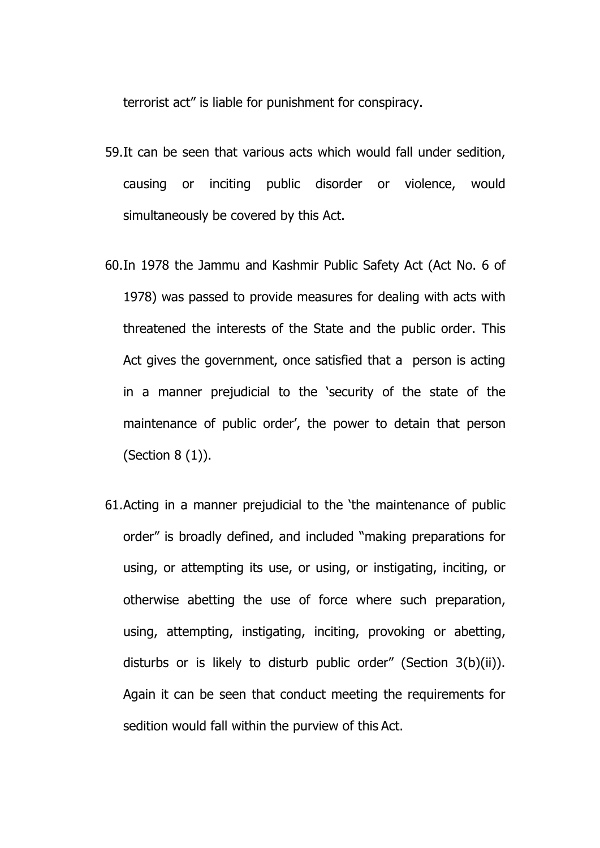terrorist act" is liable for punishment for conspiracy.

- 59.It can be seen that various acts which would fall under sedition, causing or inciting public disorder or violence, would simultaneously be covered by this Act.
- 60.In 1978 the Jammu and Kashmir Public Safety Act (Act No. 6 of 1978) was passed to provide measures for dealing with acts with threatened the interests of the State and the public order. This Act gives the government, once satisfied that a person is acting in a manner prejudicial to the 'security of the state of the maintenance of public order', the power to detain that person (Section 8 (1)).
- 61.Acting in a manner prejudicial to the 'the maintenance of public order" is broadly defined, and included "making preparations for using, or attempting its use, or using, or instigating, inciting, or otherwise abetting the use of force where such preparation, using, attempting, instigating, inciting, provoking or abetting, disturbs or is likely to disturb public order" (Section 3(b)(ii)). Again it can be seen that conduct meeting the requirements for sedition would fall within the purview of this Act.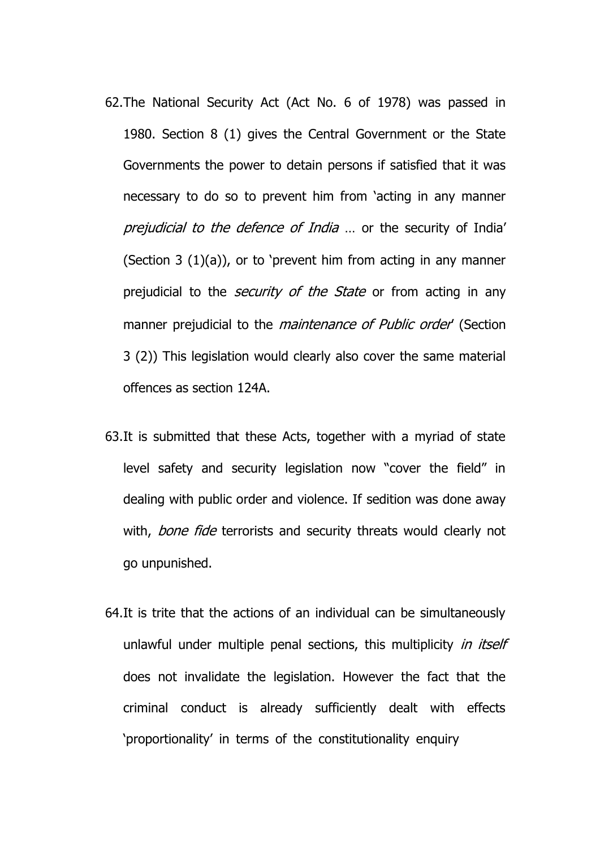- 62.The National Security Act (Act No. 6 of 1978) was passed in 1980. Section 8 (1) gives the Central Government or the State Governments the power to detain persons if satisfied that it was necessary to do so to prevent him from 'acting in any manner prejudicial to the defence of India ... or the security of India' (Section 3 (1)(a)), or to 'prevent him from acting in any manner prejudicial to the *security of the State* or from acting in any manner prejudicial to the *maintenance of Public order'* (Section 3 (2)) This legislation would clearly also cover the same material offences as section 124A.
- 63.It is submitted that these Acts, together with a myriad of state level safety and security legislation now "cover the field" in dealing with public order and violence. If sedition was done away with, bone fide terrorists and security threats would clearly not go unpunished.
- 64.It is trite that the actions of an individual can be simultaneously unlawful under multiple penal sections, this multiplicity in itself does not invalidate the legislation. However the fact that the criminal conduct is already sufficiently dealt with effects 'proportionality' in terms of the constitutionality enquiry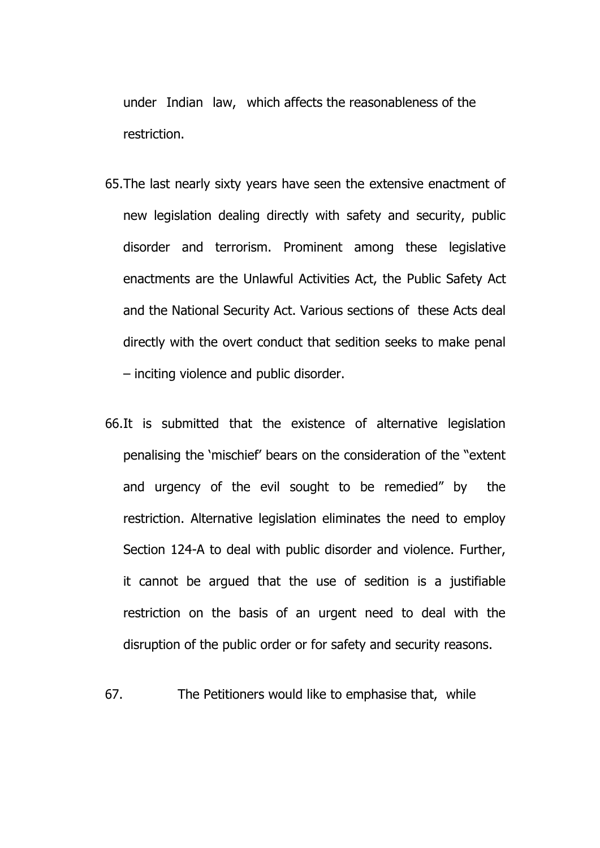under Indian law, which affects the reasonableness of the restriction.

- 65.The last nearly sixty years have seen the extensive enactment of new legislation dealing directly with safety and security, public disorder and terrorism. Prominent among these legislative enactments are the Unlawful Activities Act, the Public Safety Act and the National Security Act. Various sections of these Acts deal directly with the overt conduct that sedition seeks to make penal – inciting violence and public disorder.
- 66.It is submitted that the existence of alternative legislation penalising the 'mischief' bears on the consideration of the "extent and urgency of the evil sought to be remedied" by the restriction. Alternative legislation eliminates the need to employ Section 124-A to deal with public disorder and violence. Further, it cannot be argued that the use of sedition is a justifiable restriction on the basis of an urgent need to deal with the disruption of the public order or for safety and security reasons.

67. The Petitioners would like to emphasise that, while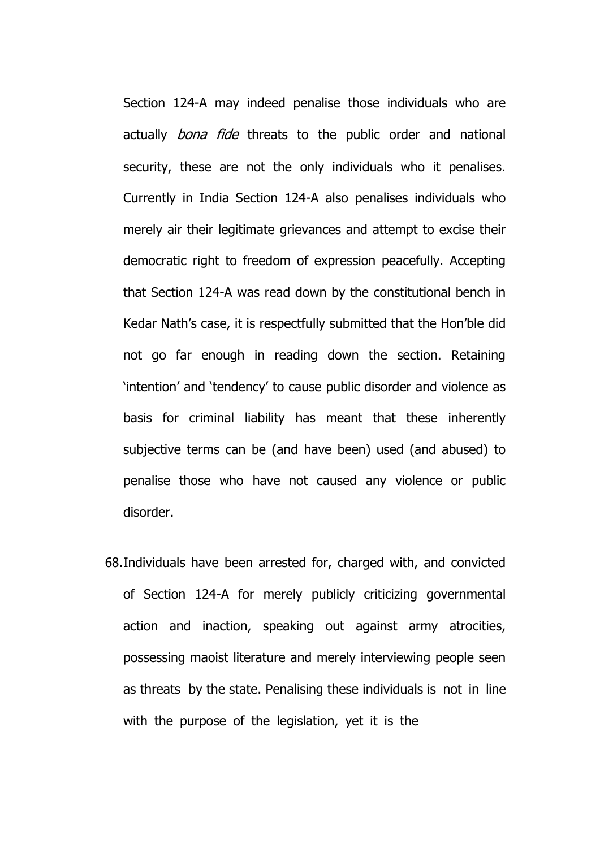Section 124-A may indeed penalise those individuals who are actually *bona fide* threats to the public order and national security, these are not the only individuals who it penalises. Currently in India Section 124-A also penalises individuals who merely air their legitimate grievances and attempt to excise their democratic right to freedom of expression peacefully. Accepting that Section 124-A was read down by the constitutional bench in Kedar Nath's case, it is respectfully submitted that the Hon'ble did not go far enough in reading down the section. Retaining 'intention' and 'tendency' to cause public disorder and violence as basis for criminal liability has meant that these inherently subjective terms can be (and have been) used (and abused) to penalise those who have not caused any violence or public disorder.

68.Individuals have been arrested for, charged with, and convicted of Section 124-A for merely publicly criticizing governmental action and inaction, speaking out against army atrocities, possessing maoist literature and merely interviewing people seen as threats by the state. Penalising these individuals is not in line with the purpose of the legislation, yet it is the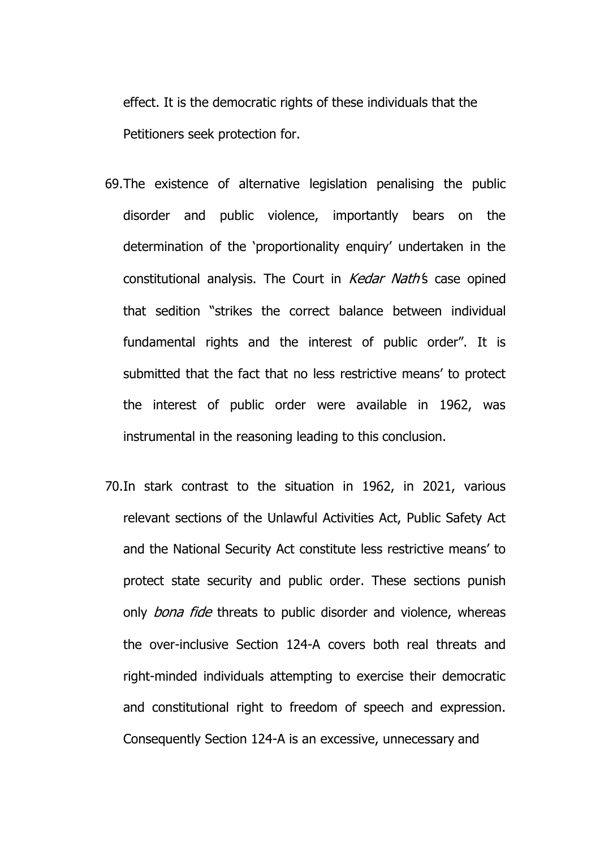effect. It is the democratic rights of these individuals that the Petitioners seek protection for.

- 69.The existence of alternative legislation penalising the public disorder and public violence, importantly bears on the determination of the 'proportionality enquiry' undertaken in the constitutional analysis. The Court in Kedar Nath's case opined that sedition "strikes the correct balance between individual fundamental rights and the interest of public order". It is submitted that the fact that no less restrictive means' to protect the interest of public order were available in 1962, was instrumental in the reasoning leading to this conclusion.
- 70.In stark contrast to the situation in 1962, in 2021, various relevant sections of the Unlawful Activities Act, Public Safety Act and the National Security Act constitute less restrictive means' to protect state security and public order. These sections punish only *bona fide* threats to public disorder and violence, whereas the over-inclusive Section 124-A covers both real threats and right-minded individuals attempting to exercise their democratic and constitutional right to freedom of speech and expression. Consequently Section 124-A is an excessive, unnecessary and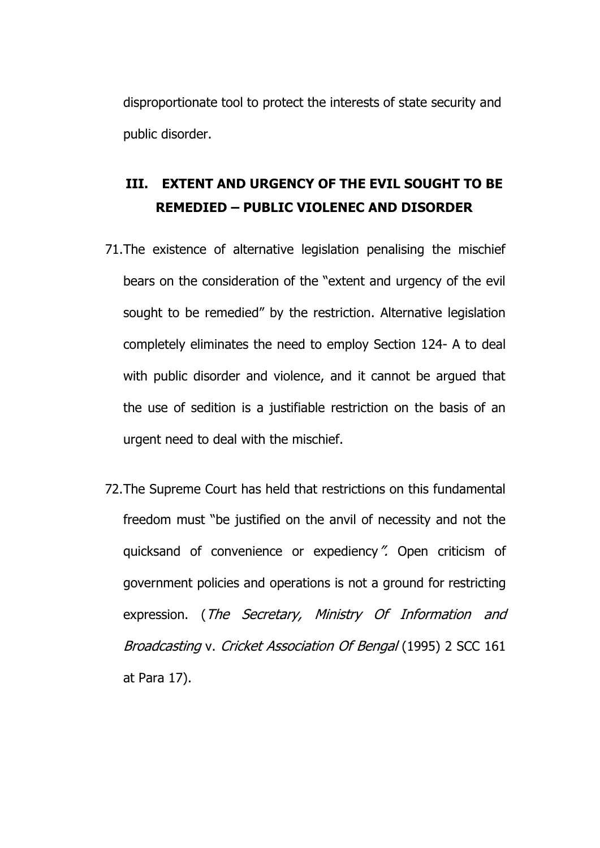disproportionate tool to protect the interests of state security and public disorder.

## **III. EXTENT AND URGENCY OF THE EVIL SOUGHT TO BE REMEDIED – PUBLIC VIOLENEC AND DISORDER**

- 71.The existence of alternative legislation penalising the mischief bears on the consideration of the "extent and urgency of the evil sought to be remedied" by the restriction. Alternative legislation completely eliminates the need to employ Section 124- A to deal with public disorder and violence, and it cannot be argued that the use of sedition is a justifiable restriction on the basis of an urgent need to deal with the mischief.
- 72.The Supreme Court has held that restrictions on this fundamental freedom must "be justified on the anvil of necessity and not the quicksand of convenience or expediency". Open criticism of government policies and operations is not a ground for restricting expression. (The Secretary, Ministry Of Information and Broadcasting v. Cricket Association Of Bengal (1995) 2 SCC 161 at Para 17).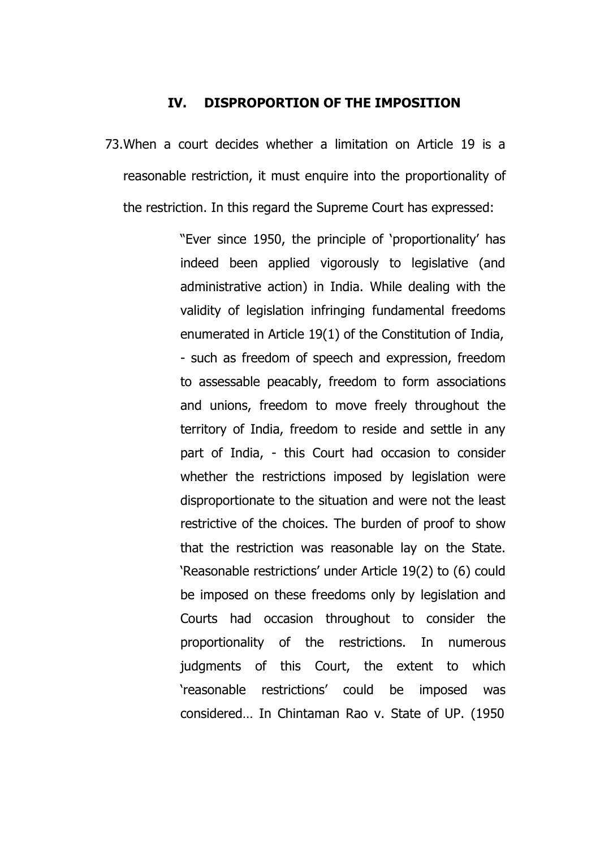#### **IV. DISPROPORTION OF THE IMPOSITION**

73.When a court decides whether a limitation on Article 19 is a reasonable restriction, it must enquire into the proportionality of the restriction. In this regard the Supreme Court has expressed:

> "Ever since 1950, the principle of 'proportionality' has indeed been applied vigorously to legislative (and administrative action) in India. While dealing with the validity of legislation infringing fundamental freedoms enumerated in Article 19(1) of the Constitution of India, - such as freedom of speech and expression, freedom to assessable peacably, freedom to form associations and unions, freedom to move freely throughout the territory of India, freedom to reside and settle in any part of India, - this Court had occasion to consider whether the restrictions imposed by legislation were disproportionate to the situation and were not the least restrictive of the choices. The burden of proof to show that the restriction was reasonable lay on the State. 'Reasonable restrictions' under Article 19(2) to (6) could be imposed on these freedoms only by legislation and Courts had occasion throughout to consider the proportionality of the restrictions. In numerous judgments of this Court, the extent to which 'reasonable restrictions' could be imposed was considered… In Chintaman Rao v. State of UP. (1950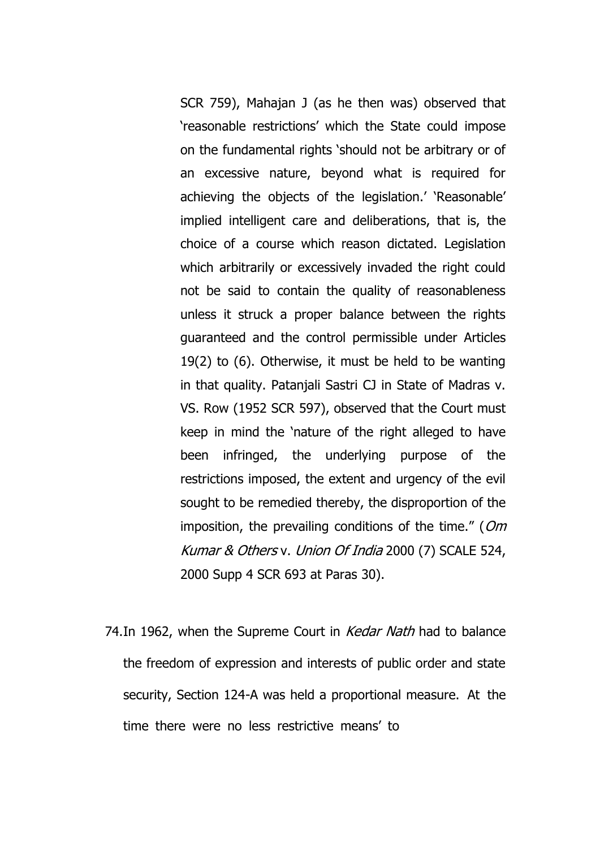SCR 759), Mahajan J (as he then was) observed that 'reasonable restrictions' which the State could impose on the fundamental rights 'should not be arbitrary or of an excessive nature, beyond what is required for achieving the objects of the legislation.' 'Reasonable' implied intelligent care and deliberations, that is, the choice of a course which reason dictated. Legislation which arbitrarily or excessively invaded the right could not be said to contain the quality of reasonableness unless it struck a proper balance between the rights guaranteed and the control permissible under Articles 19(2) to (6). Otherwise, it must be held to be wanting in that quality. Patanjali Sastri CJ in State of Madras v. VS. Row (1952 SCR 597), observed that the Court must keep in mind the 'nature of the right alleged to have been infringed, the underlying purpose of the restrictions imposed, the extent and urgency of the evil sought to be remedied thereby, the disproportion of the imposition, the prevailing conditions of the time." ( $Om$ Kumar & Others v. Union Of India 2000 (7) SCALE 524, 2000 Supp 4 SCR 693 at Paras 30).

74. In 1962, when the Supreme Court in *Kedar Nath* had to balance the freedom of expression and interests of public order and state security, Section 124-A was held a proportional measure. At the time there were no less restrictive means' to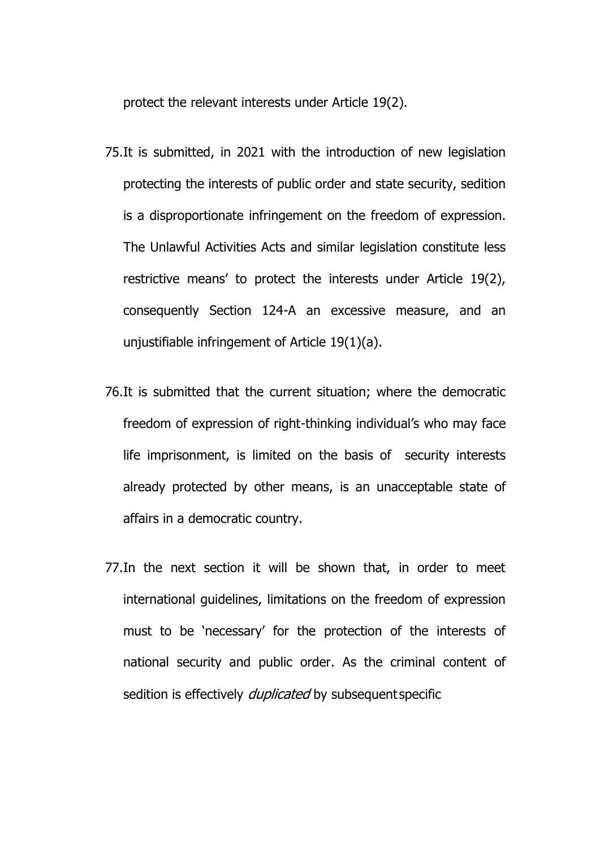protect the relevant interests under Article 19(2).

- 75.It is submitted, in 2021 with the introduction of new legislation protecting the interests of public order and state security, sedition is a disproportionate infringement on the freedom of expression. The Unlawful Activities Acts and similar legislation constitute less restrictive means' to protect the interests under Article 19(2), consequently Section 124-A an excessive measure, and an unjustifiable infringement of Article 19(1)(a).
- 76.It is submitted that the current situation; where the democratic freedom of expression of right-thinking individual's who may face life imprisonment, is limited on the basis of security interests already protected by other means, is an unacceptable state of affairs in a democratic country.
- 77.In the next section it will be shown that, in order to meet international guidelines, limitations on the freedom of expression must to be 'necessary' for the protection of the interests of national security and public order. As the criminal content of sedition is effectively *duplicated* by subsequent specific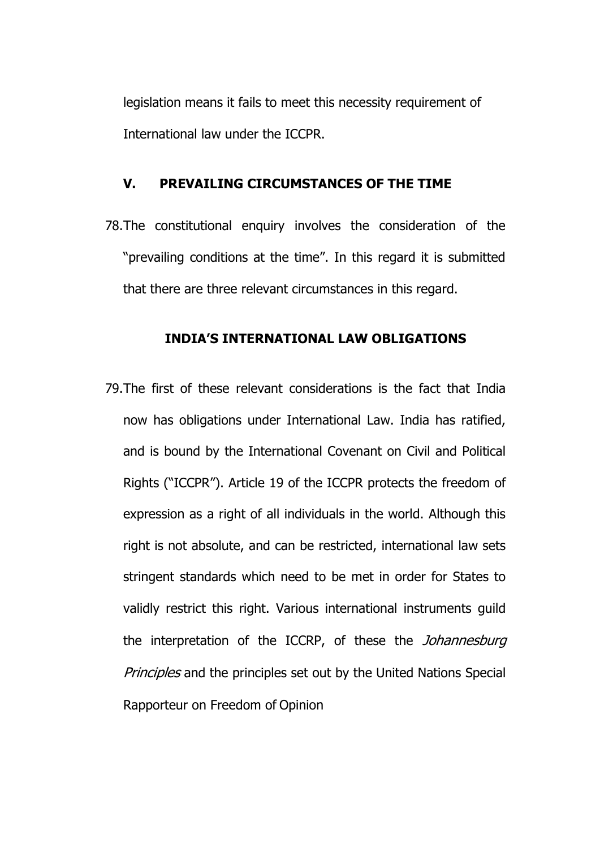legislation means it fails to meet this necessity requirement of International law under the ICCPR.

# **V. PREVAILING CIRCUMSTANCES OF THE TIME**

78.The constitutional enquiry involves the consideration of the "prevailing conditions at the time". In this regard it is submitted that there are three relevant circumstances in this regard.

## **INDIA'S INTERNATIONAL LAW OBLIGATIONS**

79.The first of these relevant considerations is the fact that India now has obligations under International Law. India has ratified, and is bound by the International Covenant on Civil and Political Rights ("ICCPR"). Article 19 of the ICCPR protects the freedom of expression as a right of all individuals in the world. Although this right is not absolute, and can be restricted, international law sets stringent standards which need to be met in order for States to validly restrict this right. Various international instruments guild the interpretation of the ICCRP, of these the *Johannesburg* Principles and the principles set out by the United Nations Special Rapporteur on Freedom of Opinion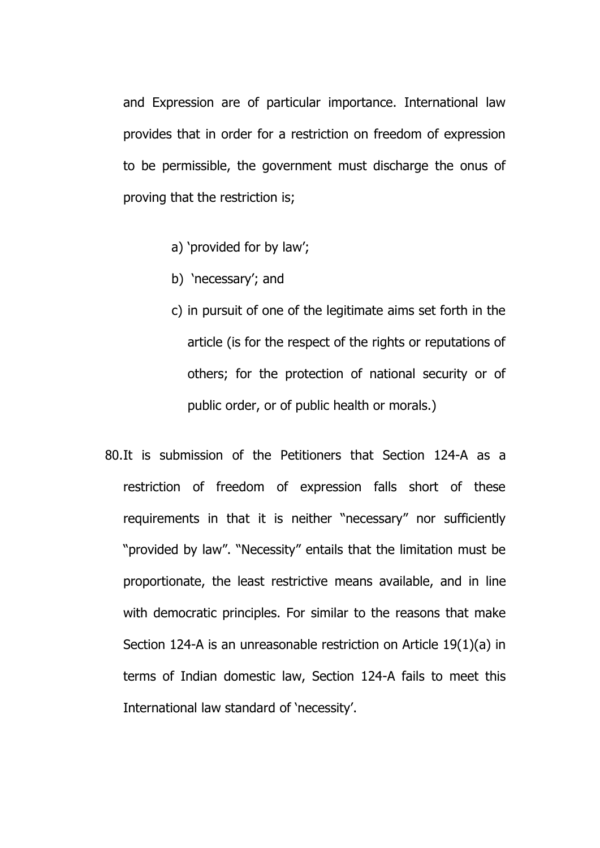and Expression are of particular importance. International law provides that in order for a restriction on freedom of expression to be permissible, the government must discharge the onus of proving that the restriction is;

- a) 'provided for by law';
- b) 'necessary'; and
- c) in pursuit of one of the legitimate aims set forth in the article (is for the respect of the rights or reputations of others; for the protection of national security or of public order, or of public health or morals.)
- 80.It is submission of the Petitioners that Section 124-A as a restriction of freedom of expression falls short of these requirements in that it is neither "necessary" nor sufficiently "provided by law". "Necessity" entails that the limitation must be proportionate, the least restrictive means available, and in line with democratic principles. For similar to the reasons that make Section 124-A is an unreasonable restriction on Article 19(1)(a) in terms of Indian domestic law, Section 124-A fails to meet this International law standard of 'necessity'.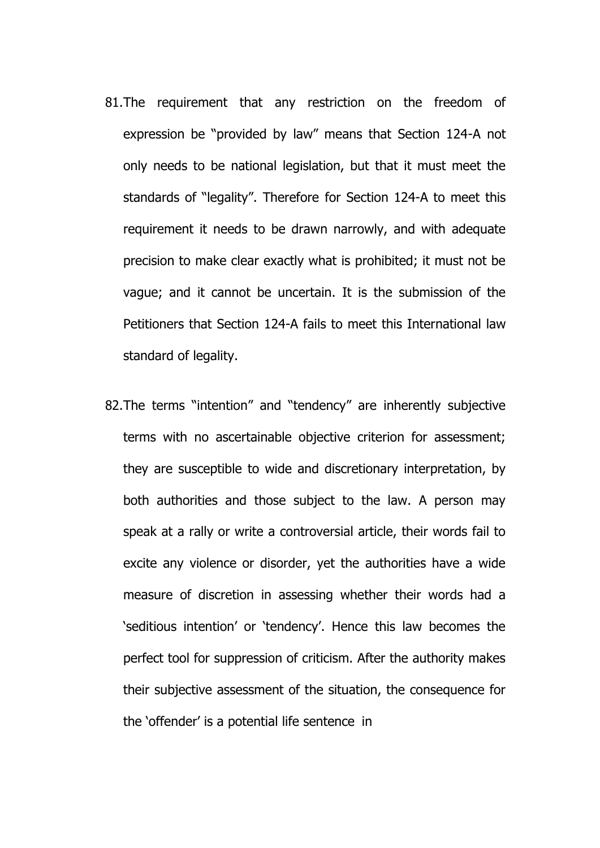- 81.The requirement that any restriction on the freedom of expression be "provided by law" means that Section 124-A not only needs to be national legislation, but that it must meet the standards of "legality". Therefore for Section 124-A to meet this requirement it needs to be drawn narrowly, and with adequate precision to make clear exactly what is prohibited; it must not be vague; and it cannot be uncertain. It is the submission of the Petitioners that Section 124-A fails to meet this International law standard of legality.
- 82.The terms "intention" and "tendency" are inherently subjective terms with no ascertainable objective criterion for assessment; they are susceptible to wide and discretionary interpretation, by both authorities and those subject to the law. A person may speak at a rally or write a controversial article, their words fail to excite any violence or disorder, yet the authorities have a wide measure of discretion in assessing whether their words had a 'seditious intention' or 'tendency'. Hence this law becomes the perfect tool for suppression of criticism. After the authority makes their subjective assessment of the situation, the consequence for the 'offender' is a potential life sentence in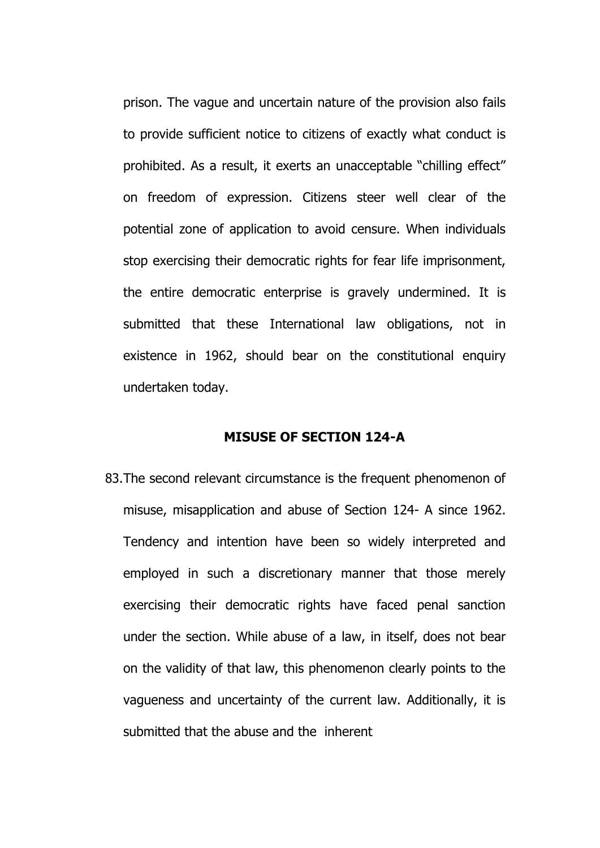prison. The vague and uncertain nature of the provision also fails to provide sufficient notice to citizens of exactly what conduct is prohibited. As a result, it exerts an unacceptable "chilling effect" on freedom of expression. Citizens steer well clear of the potential zone of application to avoid censure. When individuals stop exercising their democratic rights for fear life imprisonment, the entire democratic enterprise is gravely undermined. It is submitted that these International law obligations, not in existence in 1962, should bear on the constitutional enquiry undertaken today.

#### **MISUSE OF SECTION 124-A**

83.The second relevant circumstance is the frequent phenomenon of misuse, misapplication and abuse of Section 124- A since 1962. Tendency and intention have been so widely interpreted and employed in such a discretionary manner that those merely exercising their democratic rights have faced penal sanction under the section. While abuse of a law, in itself, does not bear on the validity of that law, this phenomenon clearly points to the vagueness and uncertainty of the current law. Additionally, it is submitted that the abuse and the inherent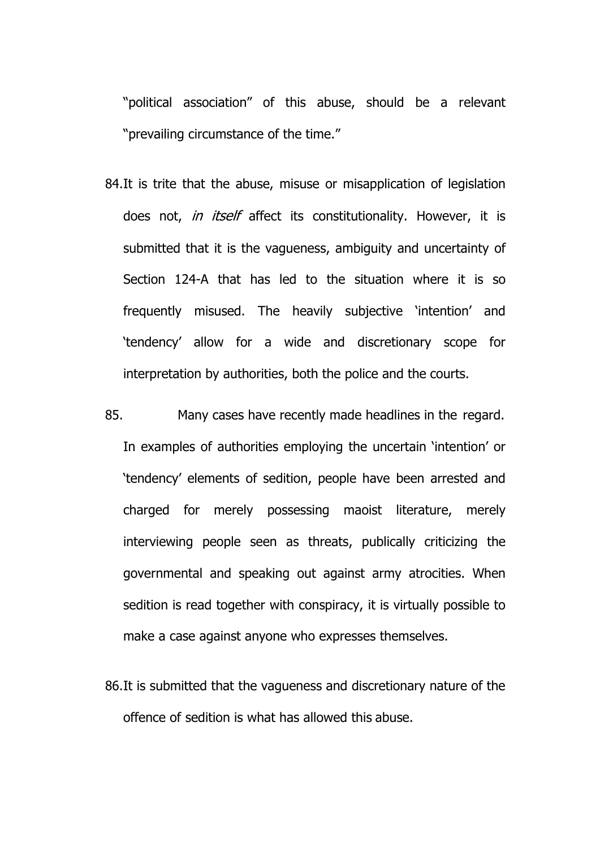"political association" of this abuse, should be a relevant "prevailing circumstance of the time."

- 84.It is trite that the abuse, misuse or misapplication of legislation does not, *in itself* affect its constitutionality. However, it is submitted that it is the vagueness, ambiguity and uncertainty of Section 124-A that has led to the situation where it is so frequently misused. The heavily subjective 'intention' and 'tendency' allow for a wide and discretionary scope for interpretation by authorities, both the police and the courts.
- 85. Many cases have recently made headlines in the regard. In examples of authorities employing the uncertain 'intention' or 'tendency' elements of sedition, people have been arrested and charged for merely possessing maoist literature, merely interviewing people seen as threats, publically criticizing the governmental and speaking out against army atrocities. When sedition is read together with conspiracy, it is virtually possible to make a case against anyone who expresses themselves.
- 86.It is submitted that the vagueness and discretionary nature of the offence of sedition is what has allowed this abuse.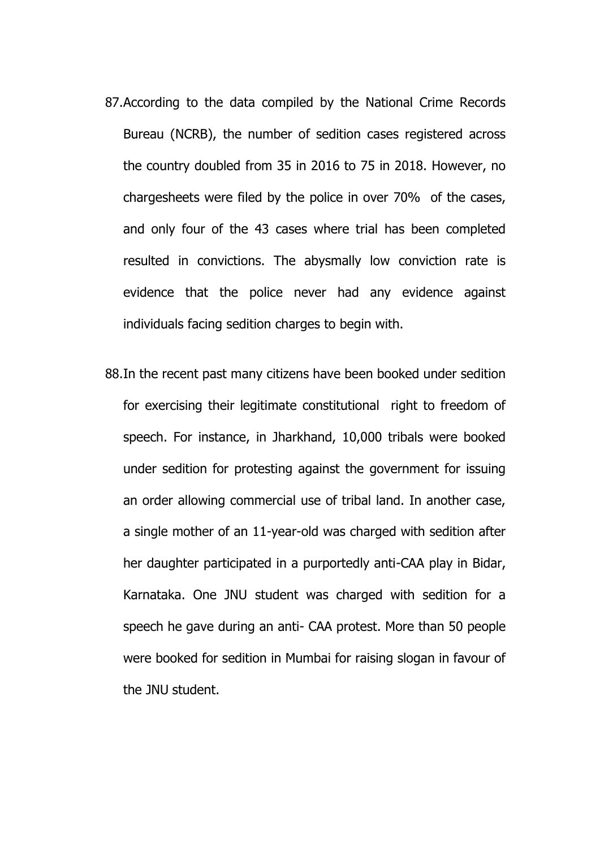- 87.According to the data compiled by the National Crime Records Bureau (NCRB), the number of sedition cases registered across the country doubled from 35 in 2016 to 75 in 2018. However, no chargesheets were filed by the police in over 70% of the cases, and only four of the 43 cases where trial has been completed resulted in convictions. The abysmally low conviction rate is evidence that the police never had any evidence against individuals facing sedition charges to begin with.
- 88.In the recent past many citizens have been booked under sedition for exercising their legitimate constitutional right to freedom of speech. For instance, in Jharkhand, 10,000 tribals were booked under sedition for protesting against the government for issuing an order allowing commercial use of tribal land. In another case, a single mother of an 11-year-old was charged with sedition after her daughter participated in a purportedly anti-CAA play in Bidar, Karnataka. One JNU student was charged with sedition for a speech he gave during an anti- CAA protest. More than 50 people were booked for sedition in Mumbai for raising slogan in favour of the JNU student.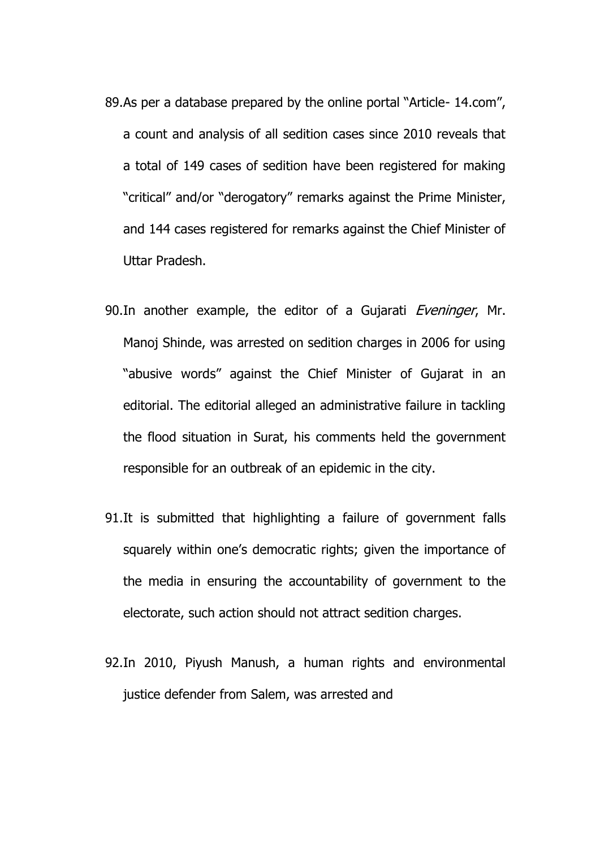- 89.As per a database prepared by the online portal "Article- 14.com", a count and analysis of all sedition cases since 2010 reveals that a total of 149 cases of sedition have been registered for making "critical" and/or "derogatory" remarks against the Prime Minister, and 144 cases registered for remarks against the Chief Minister of Uttar Pradesh.
- 90. In another example, the editor of a Gujarati Eveninger, Mr. Manoj Shinde, was arrested on sedition charges in 2006 for using "abusive words" against the Chief Minister of Gujarat in an editorial. The editorial alleged an administrative failure in tackling the flood situation in Surat, his comments held the government responsible for an outbreak of an epidemic in the city.
- 91.It is submitted that highlighting a failure of government falls squarely within one's democratic rights; given the importance of the media in ensuring the accountability of government to the electorate, such action should not attract sedition charges.
- 92.In 2010, Piyush Manush, a human rights and environmental justice defender from Salem, was arrested and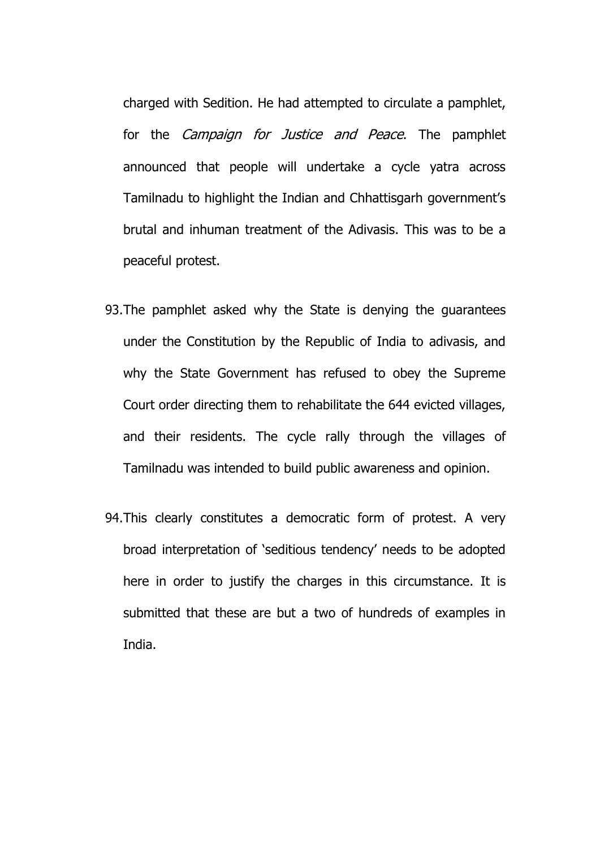charged with Sedition. He had attempted to circulate a pamphlet, for the *Campaign for Justice and Peace*. The pamphlet announced that people will undertake a cycle yatra across Tamilnadu to highlight the Indian and Chhattisgarh government's brutal and inhuman treatment of the Adivasis. This was to be a peaceful protest.

- 93.The pamphlet asked why the State is denying the guarantees under the Constitution by the Republic of India to adivasis, and why the State Government has refused to obey the Supreme Court order directing them to rehabilitate the 644 evicted villages, and their residents. The cycle rally through the villages of Tamilnadu was intended to build public awareness and opinion.
- 94.This clearly constitutes a democratic form of protest. A very broad interpretation of 'seditious tendency' needs to be adopted here in order to justify the charges in this circumstance. It is submitted that these are but a two of hundreds of examples in India.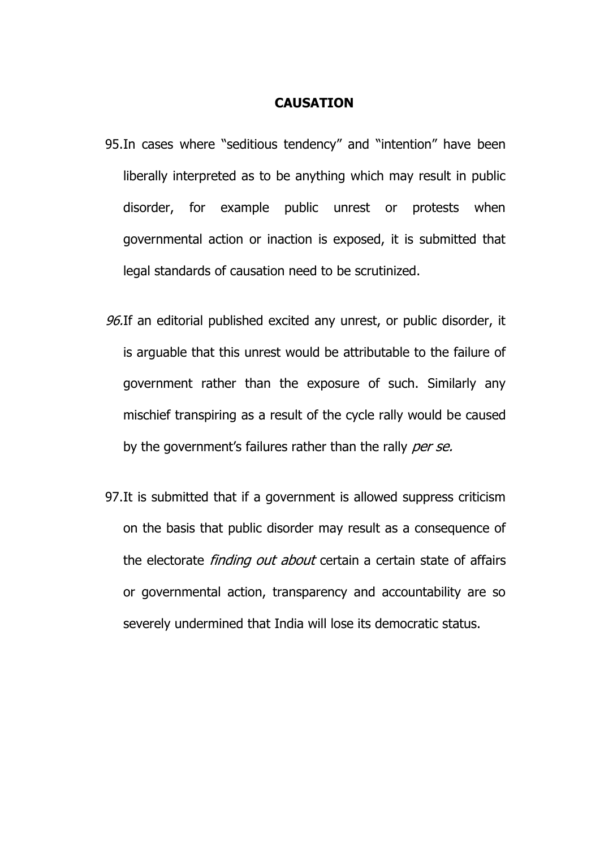#### **CAUSATION**

- 95.In cases where "seditious tendency" and "intention" have been liberally interpreted as to be anything which may result in public disorder, for example public unrest or protests when governmental action or inaction is exposed, it is submitted that legal standards of causation need to be scrutinized.
- 96.If an editorial published excited any unrest, or public disorder, it is arguable that this unrest would be attributable to the failure of government rather than the exposure of such. Similarly any mischief transpiring as a result of the cycle rally would be caused by the government's failures rather than the rally per se.
- 97.It is submitted that if a government is allowed suppress criticism on the basis that public disorder may result as a consequence of the electorate *finding out about* certain a certain state of affairs or governmental action, transparency and accountability are so severely undermined that India will lose its democratic status.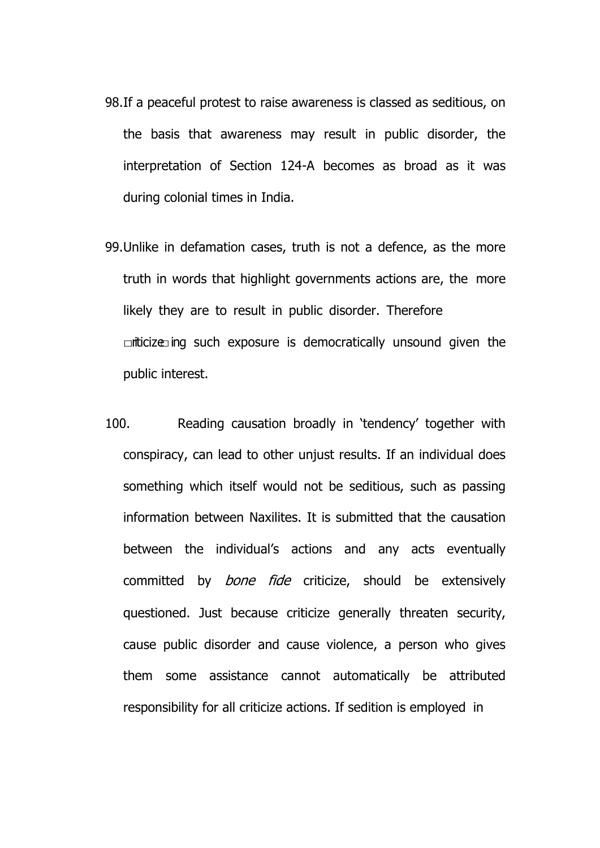- 98.If a peaceful protest to raise awareness is classed as seditious, on the basis that awareness may result in public disorder, the interpretation of Section 124-A becomes as broad as it was during colonial times in India.
- 99.Unlike in defamation cases, truth is not a defence, as the more truth in words that highlight governments actions are, the more likely they are to result in public disorder. Therefore  $\Box$ iticize $\Box$ ing such exposure is democratically unsound given the public interest.
- 100. Reading causation broadly in 'tendency' together with conspiracy, can lead to other unjust results. If an individual does something which itself would not be seditious, such as passing information between Naxilites. It is submitted that the causation between the individual's actions and any acts eventually committed by *bone fide* criticize, should be extensively questioned. Just because criticize generally threaten security, cause public disorder and cause violence, a person who gives them some assistance cannot automatically be attributed responsibility for all criticize actions. If sedition is employed in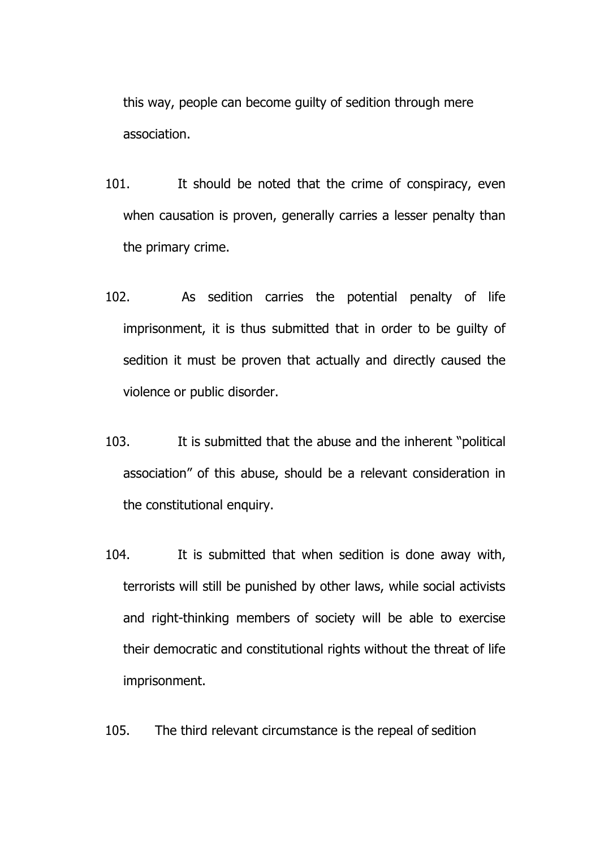this way, people can become guilty of sedition through mere association.

- 101. It should be noted that the crime of conspiracy, even when causation is proven, generally carries a lesser penalty than the primary crime.
- 102. As sedition carries the potential penalty of life imprisonment, it is thus submitted that in order to be guilty of sedition it must be proven that actually and directly caused the violence or public disorder.
- 103. It is submitted that the abuse and the inherent "political association" of this abuse, should be a relevant consideration in the constitutional enquiry.
- 104. It is submitted that when sedition is done away with, terrorists will still be punished by other laws, while social activists and right-thinking members of society will be able to exercise their democratic and constitutional rights without the threat of life imprisonment.

105. The third relevant circumstance is the repeal of sedition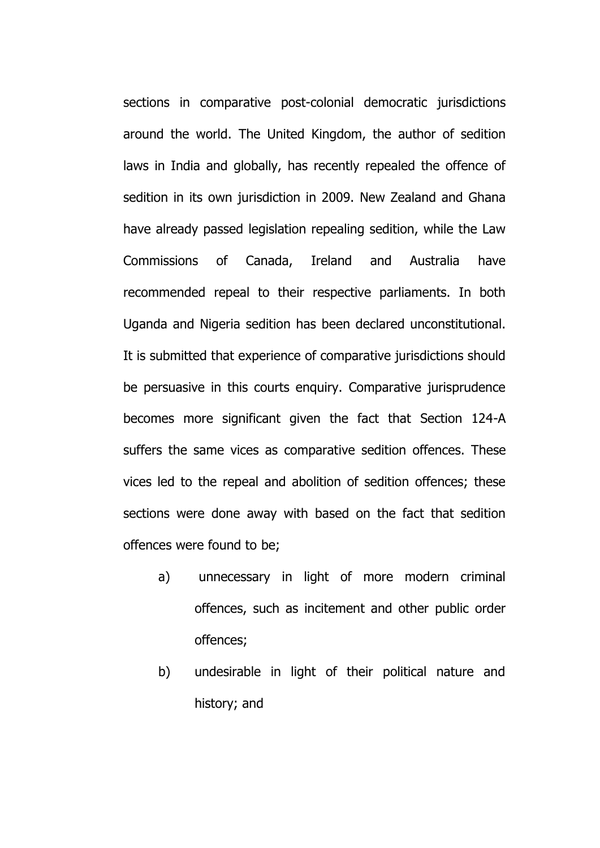sections in comparative post-colonial democratic jurisdictions around the world. The United Kingdom, the author of sedition laws in India and globally, has recently repealed the offence of sedition in its own jurisdiction in 2009. New Zealand and Ghana have already passed legislation repealing sedition, while the Law Commissions of Canada, Ireland and Australia have recommended repeal to their respective parliaments. In both Uganda and Nigeria sedition has been declared unconstitutional. It is submitted that experience of comparative jurisdictions should be persuasive in this courts enquiry. Comparative jurisprudence becomes more significant given the fact that Section 124-A suffers the same vices as comparative sedition offences. These vices led to the repeal and abolition of sedition offences; these sections were done away with based on the fact that sedition offences were found to be;

- a) unnecessary in light of more modern criminal offences, such as incitement and other public order offences;
- b) undesirable in light of their political nature and history; and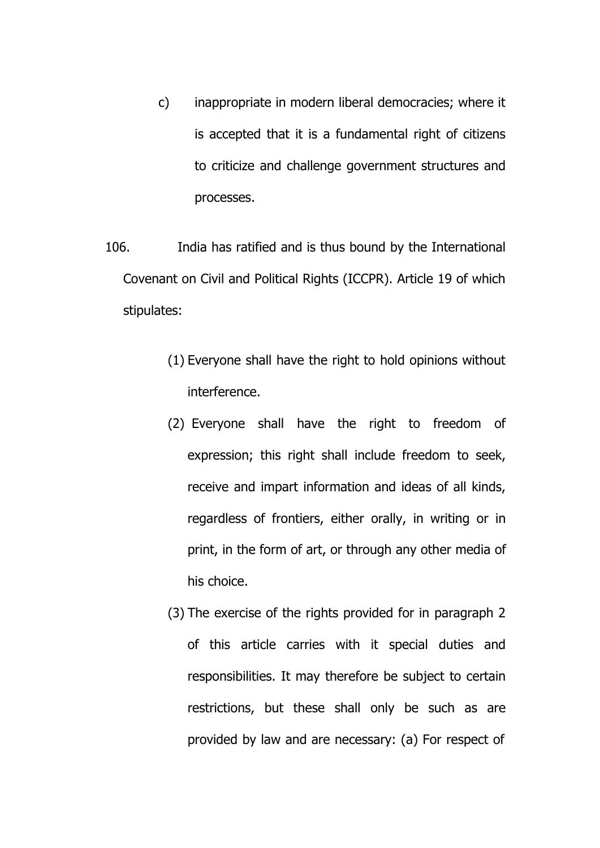- c) inappropriate in modern liberal democracies; where it is accepted that it is a fundamental right of citizens to criticize and challenge government structures and processes.
- 106. India has ratified and is thus bound by the International Covenant on Civil and Political Rights (ICCPR). Article 19 of which stipulates:
	- (1) Everyone shall have the right to hold opinions without interference.
	- (2) Everyone shall have the right to freedom of expression; this right shall include freedom to seek, receive and impart information and ideas of all kinds, regardless of frontiers, either orally, in writing or in print, in the form of art, or through any other media of his choice.
	- (3) The exercise of the rights provided for in paragraph 2 of this article carries with it special duties and responsibilities. It may therefore be subject to certain restrictions, but these shall only be such as are provided by law and are necessary: (a) For respect of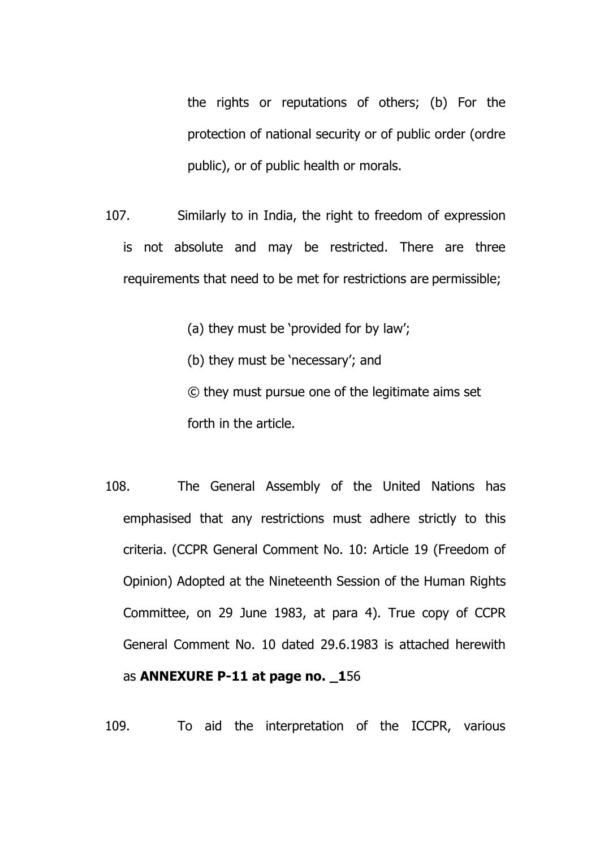the rights or reputations of others; (b) For the protection of national security or of public order (ordre public), or of public health or morals.

107. Similarly to in India, the right to freedom of expression is not absolute and may be restricted. There are three requirements that need to be met for restrictions are permissible;

(a) they must be 'provided for by law';

(b) they must be 'necessary'; and

© they must pursue one of the legitimate aims set forth in the article.

108. The General Assembly of the United Nations has emphasised that any restrictions must adhere strictly to this criteria. (CCPR General Comment No. 10: Article 19 (Freedom of Opinion) Adopted at the Nineteenth Session of the Human Rights Committee, on 29 June 1983, at para 4). True copy of CCPR General Comment No. 10 dated 29.6.1983 is attached herewith as **ANNEXURE P-11 at page no. \_1**56

109. To aid the interpretation of the ICCPR, various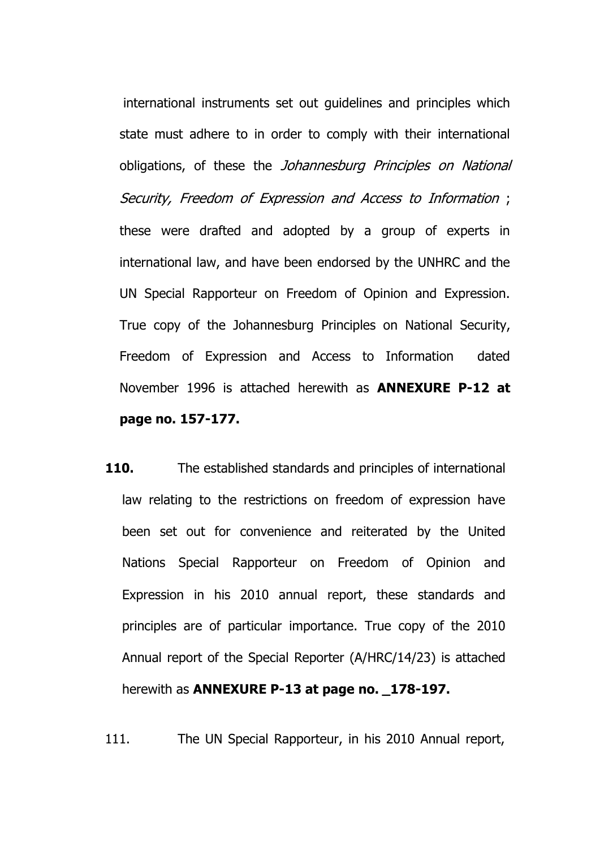international instruments set out guidelines and principles which state must adhere to in order to comply with their international obligations, of these the *Johannesburg Principles on National* Security, Freedom of Expression and Access to Information ; these were drafted and adopted by a group of experts in international law, and have been endorsed by the UNHRC and the UN Special Rapporteur on Freedom of Opinion and Expression. True copy of the Johannesburg Principles on National Security, Freedom of Expression and Access to Information dated November 1996 is attached herewith as **ANNEXURE P-12 at page no. 157-177.**

**110.** The established standards and principles of international law relating to the restrictions on freedom of expression have been set out for convenience and reiterated by the United Nations Special Rapporteur on Freedom of Opinion and Expression in his 2010 annual report, these standards and principles are of particular importance. True copy of the 2010 Annual report of the Special Reporter (A/HRC/14/23) is attached herewith as **ANNEXURE P-13 at page no. 178-197.** 

111. The UN Special Rapporteur, in his 2010 Annual report,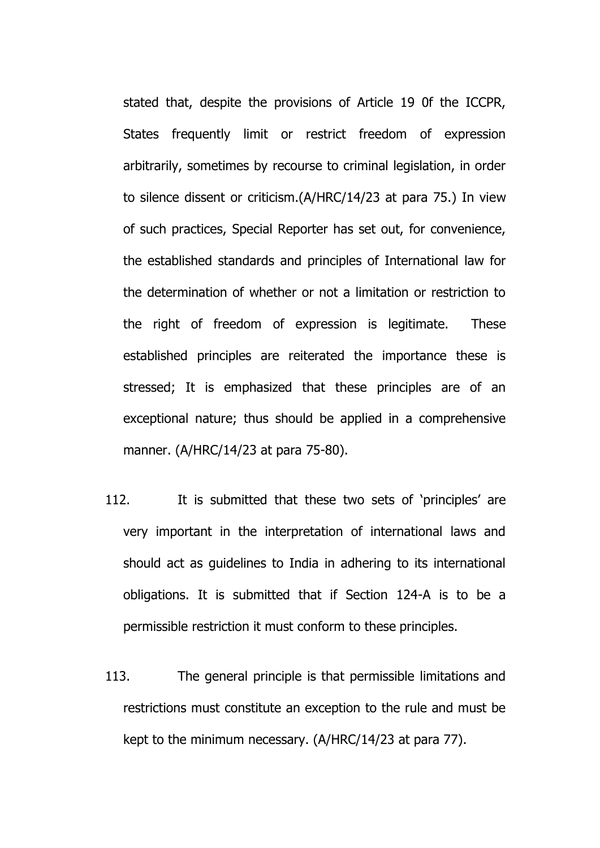stated that, despite the provisions of Article 19 0f the ICCPR, States frequently limit or restrict freedom of expression arbitrarily, sometimes by recourse to criminal legislation, in order to silence dissent or criticism.(A/HRC/14/23 at para 75.) In view of such practices, Special Reporter has set out, for convenience, the established standards and principles of International law for the determination of whether or not a limitation or restriction to the right of freedom of expression is legitimate. These established principles are reiterated the importance these is stressed; It is emphasized that these principles are of an exceptional nature; thus should be applied in a comprehensive manner. (A/HRC/14/23 at para 75-80).

- 112. It is submitted that these two sets of 'principles' are very important in the interpretation of international laws and should act as guidelines to India in adhering to its international obligations. It is submitted that if Section 124-A is to be a permissible restriction it must conform to these principles.
- 113. The general principle is that permissible limitations and restrictions must constitute an exception to the rule and must be kept to the minimum necessary. (A/HRC/14/23 at para 77).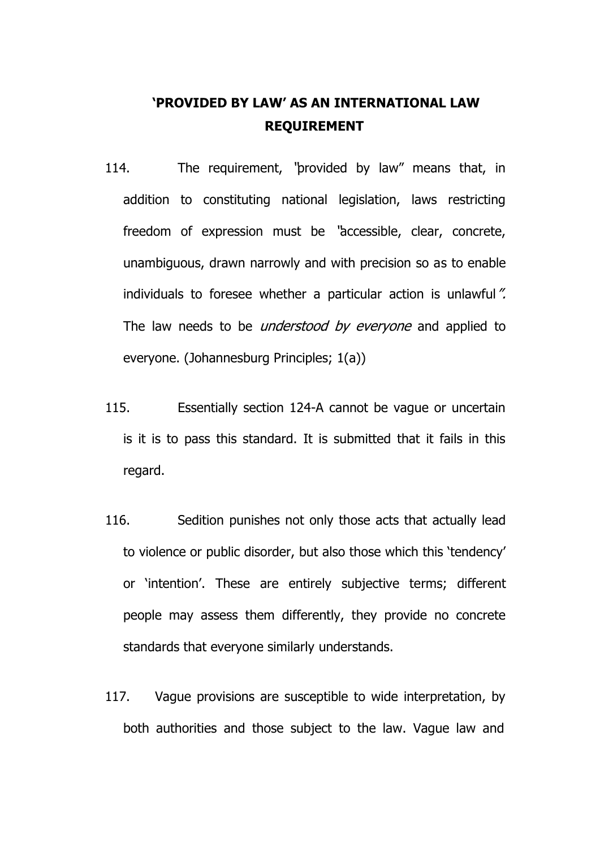# **'PROVIDED BY LAW' AS AN INTERNATIONAL LAW REQUIREMENT**

- 114. The requirement, "provided by law" means that, in addition to constituting national legislation, laws restricting freedom of expression must be "accessible, clear, concrete, unambiguous, drawn narrowly and with precision so as to enable individuals to foresee whether a particular action is unlawful". The law needs to be *understood by everyone* and applied to everyone. (Johannesburg Principles; 1(a))
- 115. Essentially section 124-A cannot be vague or uncertain is it is to pass this standard. It is submitted that it fails in this regard.
- 116. Sedition punishes not only those acts that actually lead to violence or public disorder, but also those which this 'tendency' or 'intention'. These are entirely subjective terms; different people may assess them differently, they provide no concrete standards that everyone similarly understands.
- 117. Vague provisions are susceptible to wide interpretation, by both authorities and those subject to the law. Vague law and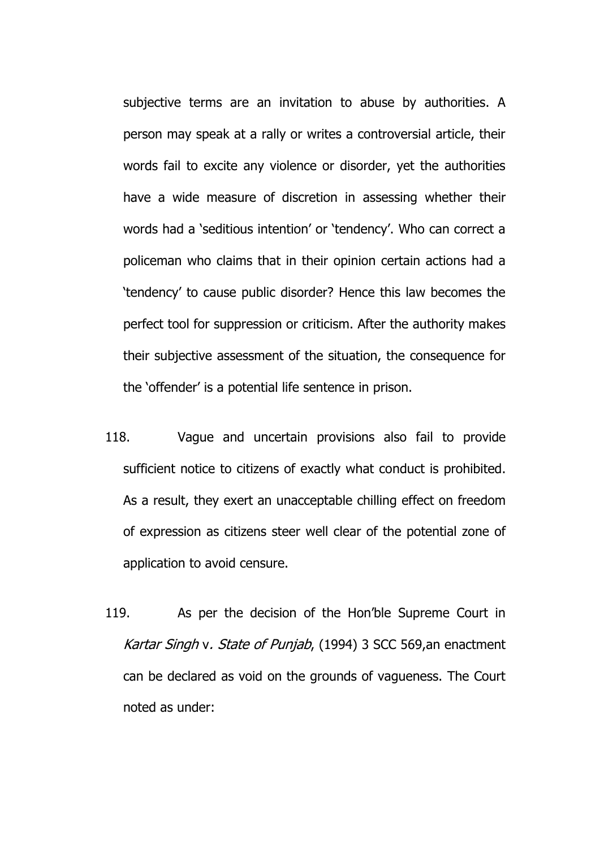subjective terms are an invitation to abuse by authorities. A person may speak at a rally or writes a controversial article, their words fail to excite any violence or disorder, yet the authorities have a wide measure of discretion in assessing whether their words had a 'seditious intention' or 'tendency'. Who can correct a policeman who claims that in their opinion certain actions had a 'tendency' to cause public disorder? Hence this law becomes the perfect tool for suppression or criticism. After the authority makes their subjective assessment of the situation, the consequence for the 'offender' is a potential life sentence in prison.

- 118. Vague and uncertain provisions also fail to provide sufficient notice to citizens of exactly what conduct is prohibited. As a result, they exert an unacceptable chilling effect on freedom of expression as citizens steer well clear of the potential zone of application to avoid censure.
- 119. As per the decision of the Hon'ble Supreme Court in Kartar Singh v. State of Punjab, (1994) 3 SCC 569, an enactment can be declared as void on the grounds of vagueness. The Court noted as under: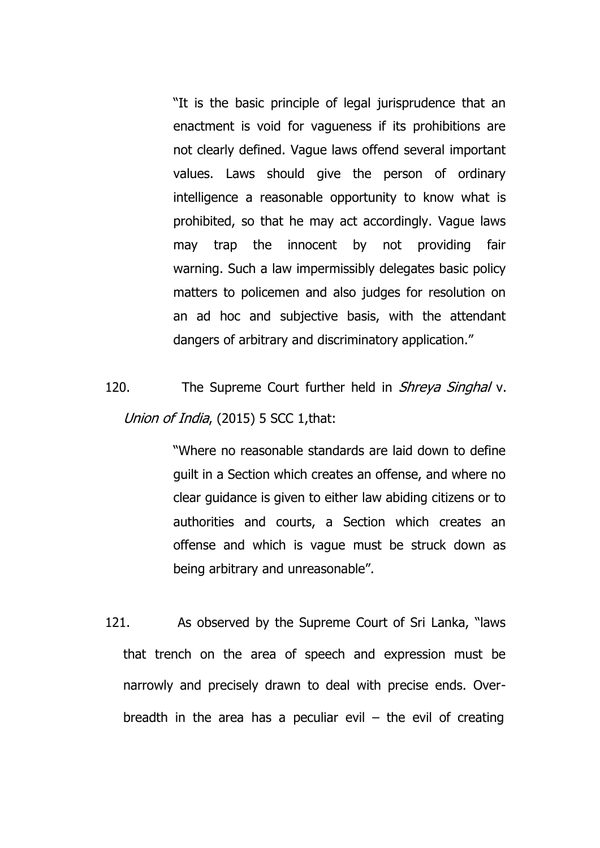"It is the basic principle of legal jurisprudence that an enactment is void for vagueness if its prohibitions are not clearly defined. Vague laws offend several important values. Laws should give the person of ordinary intelligence a reasonable opportunity to know what is prohibited, so that he may act accordingly. Vague laws may trap the innocent by not providing fair warning. Such a law impermissibly delegates basic policy matters to policemen and also judges for resolution on an ad hoc and subjective basis, with the attendant dangers of arbitrary and discriminatory application."

120. The Supreme Court further held in *Shreya Singhal* v. Union of India, (2015) 5 SCC 1, that:

> "Where no reasonable standards are laid down to define guilt in a Section which creates an offense, and where no clear guidance is given to either law abiding citizens or to authorities and courts, a Section which creates an offense and which is vague must be struck down as being arbitrary and unreasonable".

121. As observed by the Supreme Court of Sri Lanka, "laws that trench on the area of speech and expression must be narrowly and precisely drawn to deal with precise ends. Overbreadth in the area has a peculiar evil  $-$  the evil of creating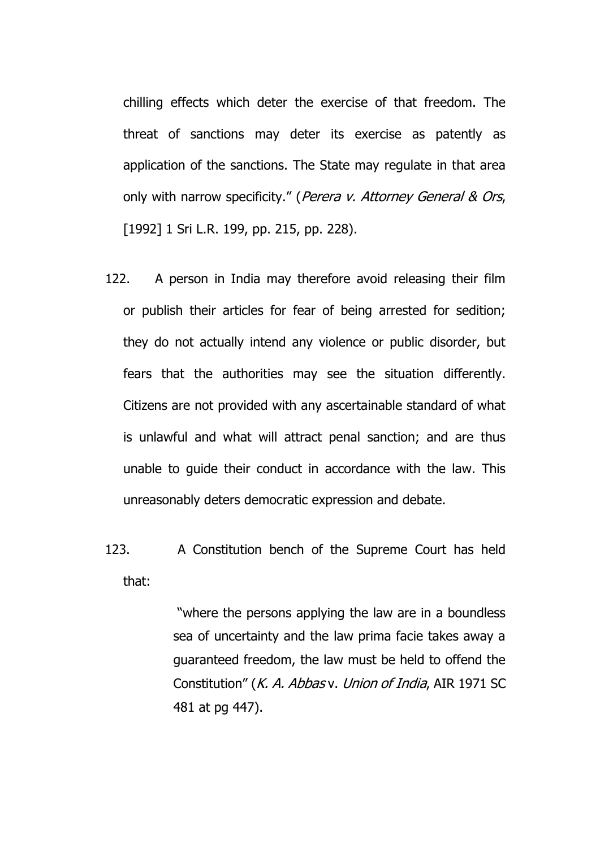chilling effects which deter the exercise of that freedom. The threat of sanctions may deter its exercise as patently as application of the sanctions. The State may regulate in that area only with narrow specificity." (Perera v. Attorney General & Ors, [1992] 1 Sri L.R. 199, pp. 215, pp. 228).

- 122. A person in India may therefore avoid releasing their film or publish their articles for fear of being arrested for sedition; they do not actually intend any violence or public disorder, but fears that the authorities may see the situation differently. Citizens are not provided with any ascertainable standard of what is unlawful and what will attract penal sanction; and are thus unable to guide their conduct in accordance with the law. This unreasonably deters democratic expression and debate.
- 123. A Constitution bench of the Supreme Court has held that:

"where the persons applying the law are in a boundless sea of uncertainty and the law prima facie takes away a guaranteed freedom, the law must be held to offend the Constitution" (K. A. Abbas v. Union of India, AIR 1971 SC 481 at pg 447).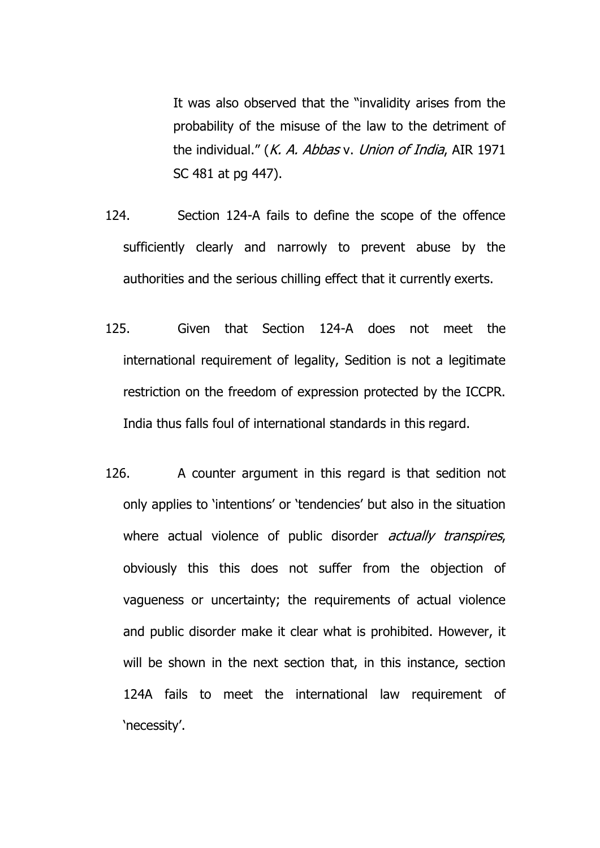It was also observed that the "invalidity arises from the probability of the misuse of the law to the detriment of the individual." (*K. A. Abbas v. Union of India*, AIR 1971 SC 481 at pg 447).

- 124. Section 124-A fails to define the scope of the offence sufficiently clearly and narrowly to prevent abuse by the authorities and the serious chilling effect that it currently exerts.
- 125. Given that Section 124-A does not meet the international requirement of legality, Sedition is not a legitimate restriction on the freedom of expression protected by the ICCPR. India thus falls foul of international standards in this regard.
- 126. A counter argument in this regard is that sedition not only applies to 'intentions' or 'tendencies' but also in the situation where actual violence of public disorder *actually transpires*, obviously this this does not suffer from the objection of vagueness or uncertainty; the requirements of actual violence and public disorder make it clear what is prohibited. However, it will be shown in the next section that, in this instance, section 124A fails to meet the international law requirement of 'necessity'.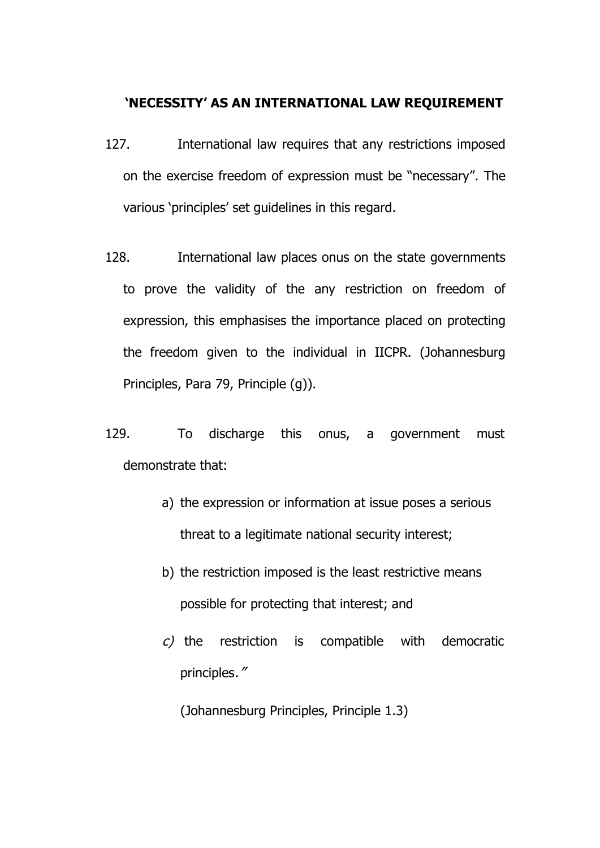## **'NECESSITY' AS AN INTERNATIONAL LAW REQUIREMENT**

- 127. International law requires that any restrictions imposed on the exercise freedom of expression must be "necessary". The various 'principles' set guidelines in this regard.
- 128. International law places onus on the state governments to prove the validity of the any restriction on freedom of expression, this emphasises the importance placed on protecting the freedom given to the individual in IICPR. (Johannesburg Principles, Para 79, Principle (g)).
- 129. To discharge this onus, a government must demonstrate that:
	- a) the expression or information at issue poses a serious threat to a legitimate national security interest;
	- b) the restriction imposed is the least restrictive means possible for protecting that interest; and
	- $c$ ) the restriction is compatible with democratic principles."

(Johannesburg Principles, Principle 1.3)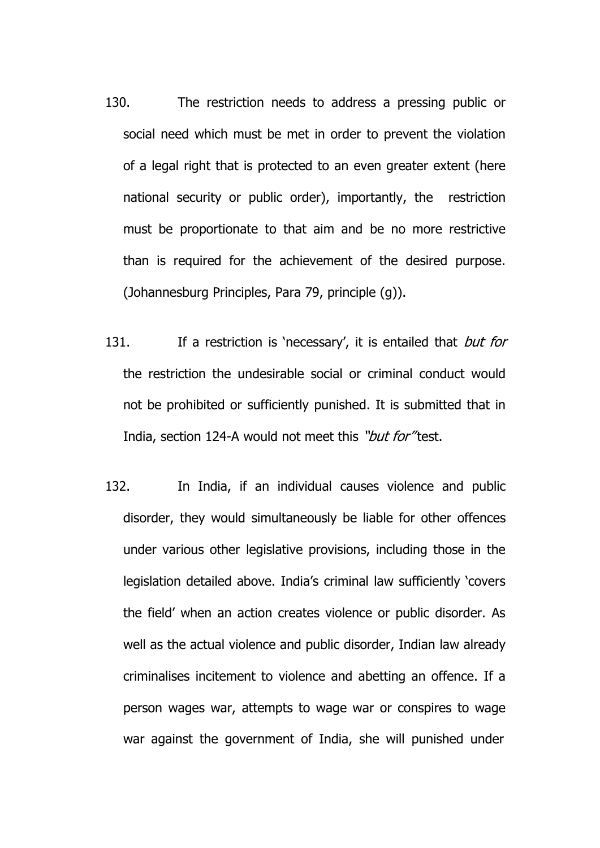- 130. The restriction needs to address a pressing public or social need which must be met in order to prevent the violation of a legal right that is protected to an even greater extent (here national security or public order), importantly, the restriction must be proportionate to that aim and be no more restrictive than is required for the achievement of the desired purpose. (Johannesburg Principles, Para 79, principle (g)).
- 131. If a restriction is 'necessary', it is entailed that *but for* the restriction the undesirable social or criminal conduct would not be prohibited or sufficiently punished. It is submitted that in India, section 124-A would not meet this "but for" test.
- 132. In India, if an individual causes violence and public disorder, they would simultaneously be liable for other offences under various other legislative provisions, including those in the legislation detailed above. India's criminal law sufficiently 'covers the field' when an action creates violence or public disorder. As well as the actual violence and public disorder, Indian law already criminalises incitement to violence and abetting an offence. If a person wages war, attempts to wage war or conspires to wage war against the government of India, she will punished under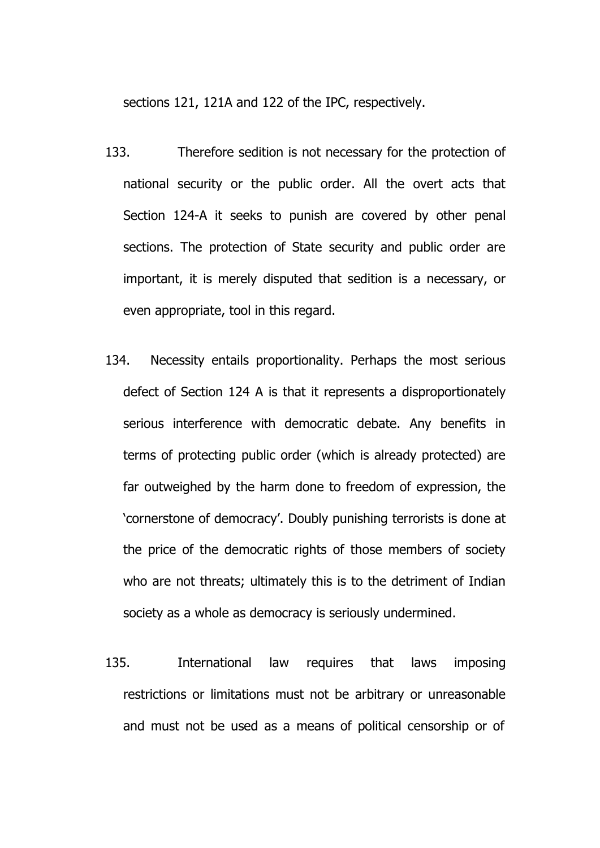sections 121, 121A and 122 of the IPC, respectively.

- 133. Therefore sedition is not necessary for the protection of national security or the public order. All the overt acts that Section 124-A it seeks to punish are covered by other penal sections. The protection of State security and public order are important, it is merely disputed that sedition is a necessary, or even appropriate, tool in this regard.
- 134. Necessity entails proportionality. Perhaps the most serious defect of Section 124 A is that it represents a disproportionately serious interference with democratic debate. Any benefits in terms of protecting public order (which is already protected) are far outweighed by the harm done to freedom of expression, the 'cornerstone of democracy'. Doubly punishing terrorists is done at the price of the democratic rights of those members of society who are not threats; ultimately this is to the detriment of Indian society as a whole as democracy is seriously undermined.
- 135. International law requires that laws imposing restrictions or limitations must not be arbitrary or unreasonable and must not be used as a means of political censorship or of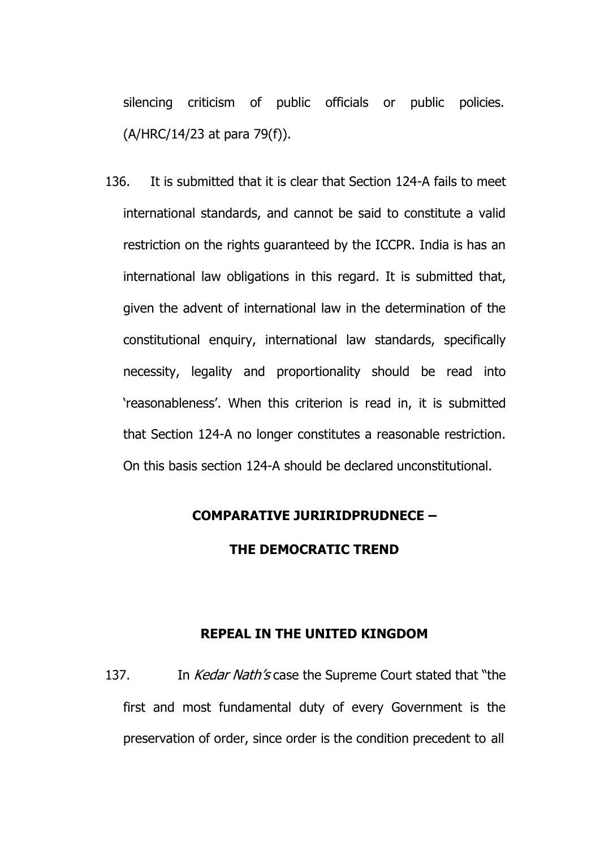silencing criticism of public officials or public policies. (A/HRC/14/23 at para 79(f)).

136. It is submitted that it is clear that Section 124-A fails to meet international standards, and cannot be said to constitute a valid restriction on the rights guaranteed by the ICCPR. India is has an international law obligations in this regard. It is submitted that, given the advent of international law in the determination of the constitutional enquiry, international law standards, specifically necessity, legality and proportionality should be read into 'reasonableness'. When this criterion is read in, it is submitted that Section 124-A no longer constitutes a reasonable restriction. On this basis section 124-A should be declared unconstitutional.

## **COMPARATIVE JURIRIDPRUDNECE –**

## **THE DEMOCRATIC TREND**

#### **REPEAL IN THE UNITED KINGDOM**

137. In *Kedar Nath's* case the Supreme Court stated that "the first and most fundamental duty of every Government is the preservation of order, since order is the condition precedent to all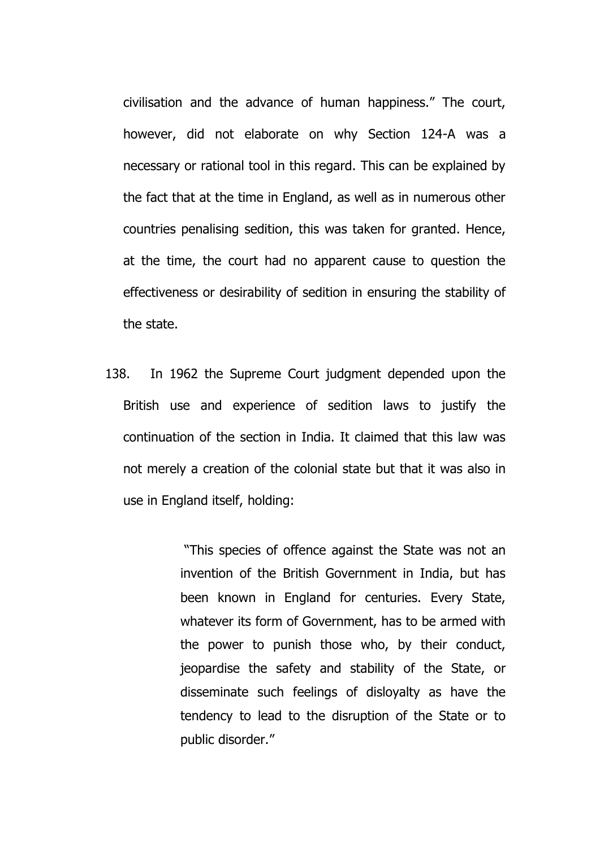civilisation and the advance of human happiness." The court, however, did not elaborate on why Section 124-A was a necessary or rational tool in this regard. This can be explained by the fact that at the time in England, as well as in numerous other countries penalising sedition, this was taken for granted. Hence, at the time, the court had no apparent cause to question the effectiveness or desirability of sedition in ensuring the stability of the state.

138. In 1962 the Supreme Court judgment depended upon the British use and experience of sedition laws to justify the continuation of the section in India. It claimed that this law was not merely a creation of the colonial state but that it was also in use in England itself, holding:

> "This species of offence against the State was not an invention of the British Government in India, but has been known in England for centuries. Every State, whatever its form of Government, has to be armed with the power to punish those who, by their conduct, jeopardise the safety and stability of the State, or disseminate such feelings of disloyalty as have the tendency to lead to the disruption of the State or to public disorder."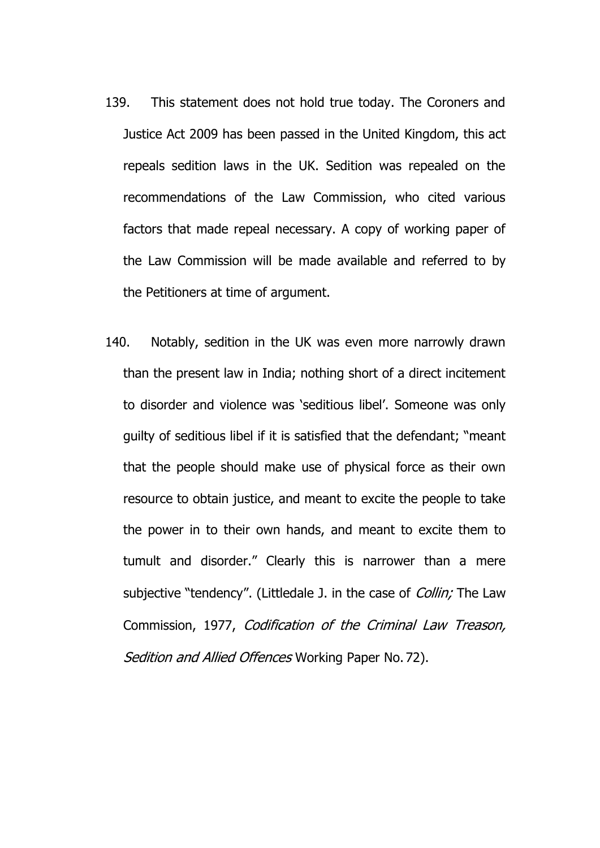- 139. This statement does not hold true today. The Coroners and Justice Act 2009 has been passed in the United Kingdom, this act repeals sedition laws in the UK. Sedition was repealed on the recommendations of the Law Commission, who cited various factors that made repeal necessary. A copy of working paper of the Law Commission will be made available and referred to by the Petitioners at time of argument.
- 140. Notably, sedition in the UK was even more narrowly drawn than the present law in India; nothing short of a direct incitement to disorder and violence was 'seditious libel'. Someone was only guilty of seditious libel if it is satisfied that the defendant; "meant that the people should make use of physical force as their own resource to obtain justice, and meant to excite the people to take the power in to their own hands, and meant to excite them to tumult and disorder." Clearly this is narrower than a mere subjective "tendency". (Littledale J. in the case of *Collin;* The Law Commission, 1977, Codification of the Criminal Law Treason, Sedition and Allied Offences Working Paper No. 72).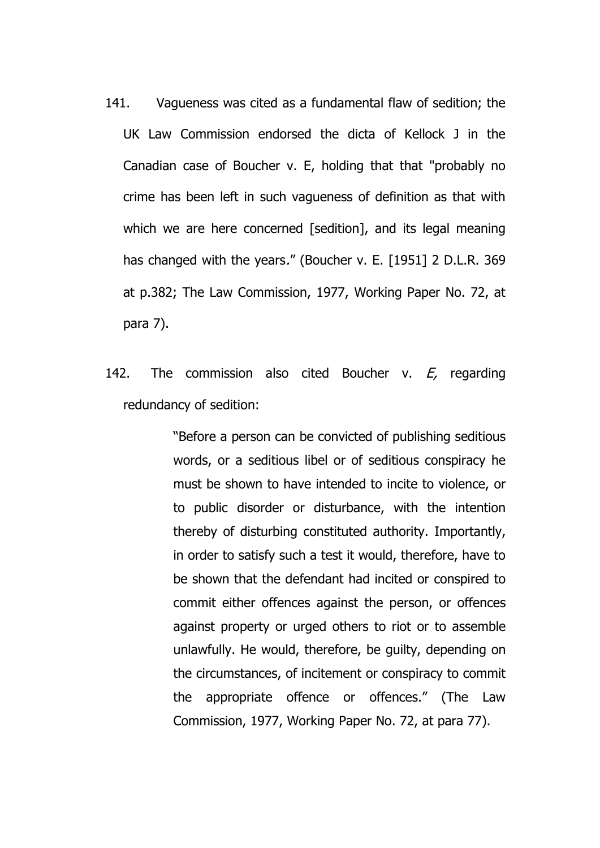- 141. Vagueness was cited as a fundamental flaw of sedition; the UK Law Commission endorsed the dicta of Kellock J in the Canadian case of Boucher v. E, holding that that "probably no crime has been left in such vagueness of definition as that with which we are here concerned [sedition], and its legal meaning has changed with the years." (Boucher v. E. [1951] 2 D.L.R. 369 at p.382; The Law Commission, 1977, Working Paper No. 72, at para 7).
- 142. The commission also cited Boucher v.  $E<sub>r</sub>$  regarding redundancy of sedition:

"Before a person can be convicted of publishing seditious words, or a seditious libel or of seditious conspiracy he must be shown to have intended to incite to violence, or to public disorder or disturbance, with the intention thereby of disturbing constituted authority. Importantly, in order to satisfy such a test it would, therefore, have to be shown that the defendant had incited or conspired to commit either offences against the person, or offences against property or urged others to riot or to assemble unlawfully. He would, therefore, be guilty, depending on the circumstances, of incitement or conspiracy to commit the appropriate offence or offences." (The Law Commission, 1977, Working Paper No. 72, at para 77).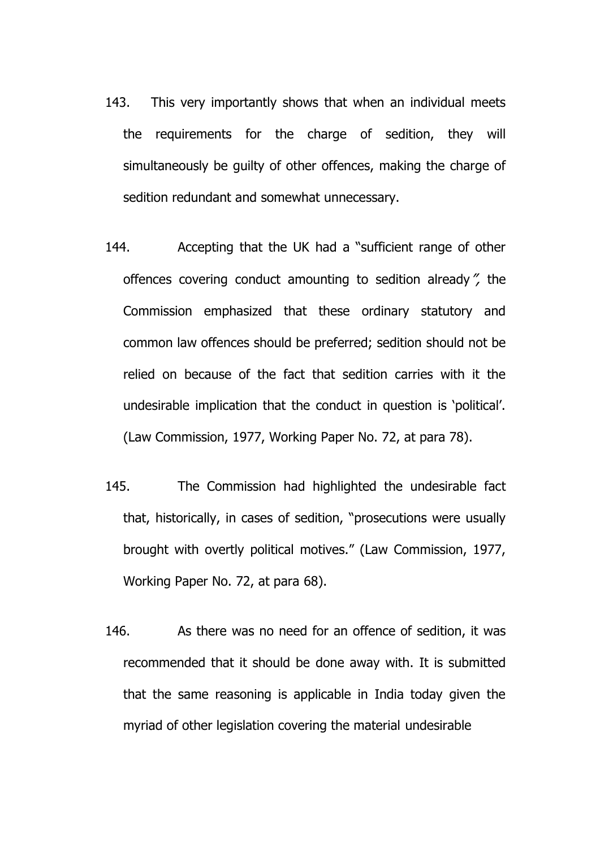- 143. This very importantly shows that when an individual meets the requirements for the charge of sedition, they will simultaneously be guilty of other offences, making the charge of sedition redundant and somewhat unnecessary.
- 144. Accepting that the UK had a "sufficient range of other offences covering conduct amounting to sedition already", the Commission emphasized that these ordinary statutory and common law offences should be preferred; sedition should not be relied on because of the fact that sedition carries with it the undesirable implication that the conduct in question is 'political'. (Law Commission, 1977, Working Paper No. 72, at para 78).
- 145. The Commission had highlighted the undesirable fact that, historically, in cases of sedition, "prosecutions were usually brought with overtly political motives." (Law Commission, 1977, Working Paper No. 72, at para 68).
- 146. As there was no need for an offence of sedition, it was recommended that it should be done away with. It is submitted that the same reasoning is applicable in India today given the myriad of other legislation covering the material undesirable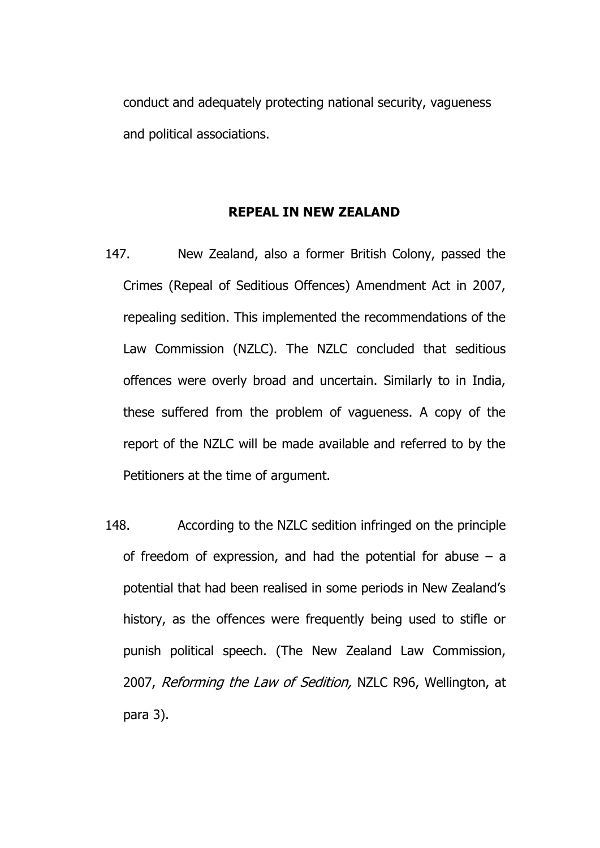conduct and adequately protecting national security, vagueness and political associations.

## **REPEAL IN NEW ZEALAND**

- 147. New Zealand, also a former British Colony, passed the Crimes (Repeal of Seditious Offences) Amendment Act in 2007, repealing sedition. This implemented the recommendations of the Law Commission (NZLC). The NZLC concluded that seditious offences were overly broad and uncertain. Similarly to in India, these suffered from the problem of vagueness. A copy of the report of the NZLC will be made available and referred to by the Petitioners at the time of argument.
- 148. According to the NZLC sedition infringed on the principle of freedom of expression, and had the potential for abuse  $-$  a potential that had been realised in some periods in New Zealand's history, as the offences were frequently being used to stifle or punish political speech. (The New Zealand Law Commission, 2007, Reforming the Law of Sedition, NZLC R96, Wellington, at para 3).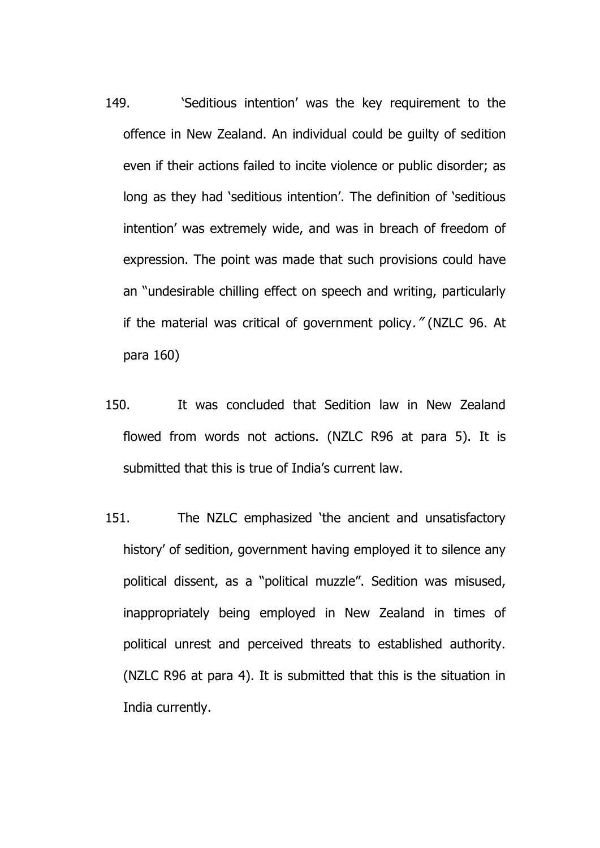- 149. 'Seditious intention' was the key requirement to the offence in New Zealand. An individual could be guilty of sedition even if their actions failed to incite violence or public disorder; as long as they had 'seditious intention'. The definition of 'seditious intention' was extremely wide, and was in breach of freedom of expression. The point was made that such provisions could have an "undesirable chilling effect on speech and writing, particularly if the material was critical of government policy." (NZLC 96. At para 160)
- 150. It was concluded that Sedition law in New Zealand flowed from words not actions. (NZLC R96 at para 5). It is submitted that this is true of India's current law.
- 151. The NZLC emphasized 'the ancient and unsatisfactory history' of sedition, government having employed it to silence any political dissent, as a "political muzzle". Sedition was misused, inappropriately being employed in New Zealand in times of political unrest and perceived threats to established authority. (NZLC R96 at para 4). It is submitted that this is the situation in India currently.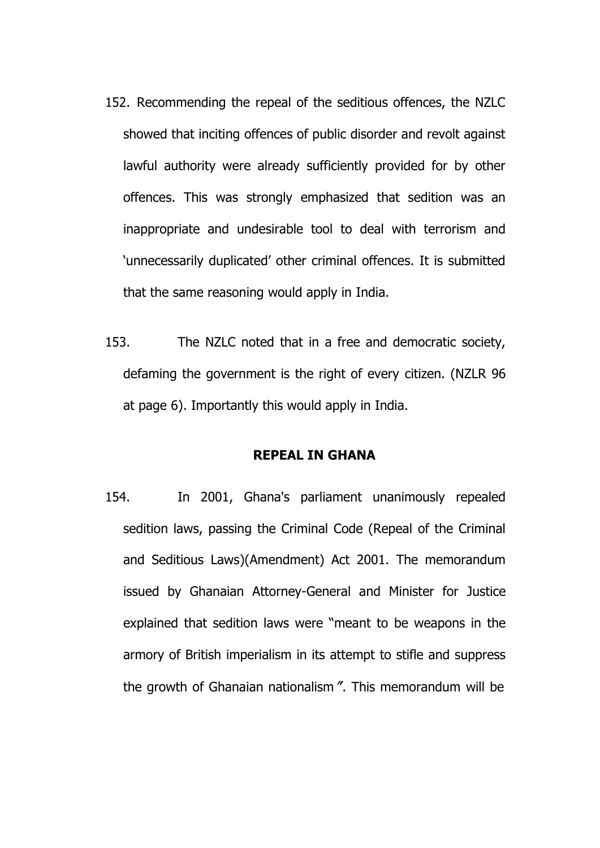- 152. Recommending the repeal of the seditious offences, the NZLC showed that inciting offences of public disorder and revolt against lawful authority were already sufficiently provided for by other offences. This was strongly emphasized that sedition was an inappropriate and undesirable tool to deal with terrorism and 'unnecessarily duplicated' other criminal offences. It is submitted that the same reasoning would apply in India.
- 153. The NZLC noted that in a free and democratic society, defaming the government is the right of every citizen. (NZLR 96 at page 6). Importantly this would apply in India.

## **REPEAL IN GHANA**

154. In 2001, Ghana's parliament unanimously repealed sedition laws, passing the Criminal Code (Repeal of the Criminal and Seditious Laws)(Amendment) Act 2001. The memorandum issued by Ghanaian Attorney-General and Minister for Justice explained that sedition laws were "meant to be weapons in the armory of British imperialism in its attempt to stifle and suppress the growth of Ghanaian nationalism"'. This memorandum will be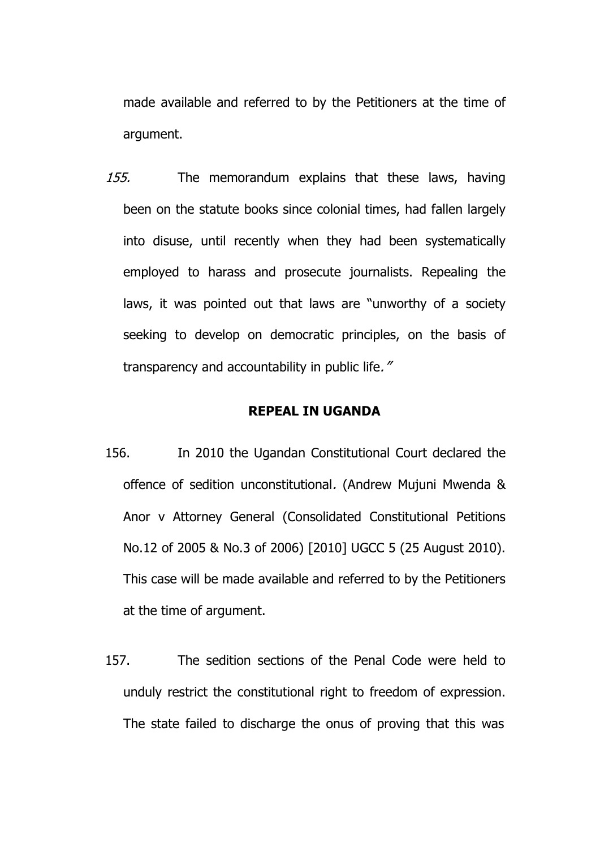made available and referred to by the Petitioners at the time of argument.

155. The memorandum explains that these laws, having been on the statute books since colonial times, had fallen largely into disuse, until recently when they had been systematically employed to harass and prosecute journalists. Repealing the laws, it was pointed out that laws are "unworthy of a society seeking to develop on democratic principles, on the basis of transparency and accountability in public life."

#### **REPEAL IN UGANDA**

- 156. In 2010 the Ugandan Constitutional Court declared the offence of sedition unconstitutional. (Andrew Mujuni Mwenda & Anor v Attorney General (Consolidated Constitutional Petitions No.12 of 2005 & No.3 of 2006) [2010] UGCC 5 (25 August 2010). This case will be made available and referred to by the Petitioners at the time of argument.
- 157. The sedition sections of the Penal Code were held to unduly restrict the constitutional right to freedom of expression. The state failed to discharge the onus of proving that this was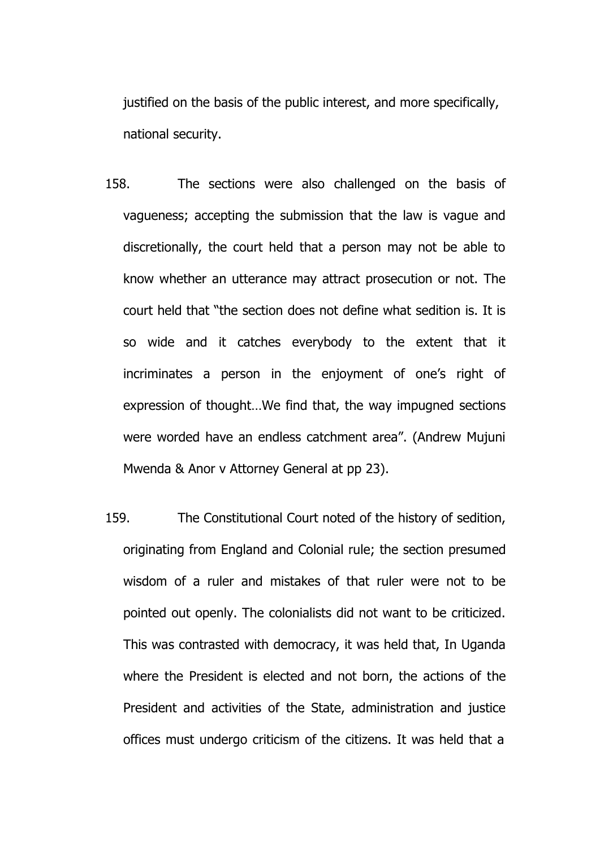justified on the basis of the public interest, and more specifically, national security.

- 158. The sections were also challenged on the basis of vagueness; accepting the submission that the law is vague and discretionally, the court held that a person may not be able to know whether an utterance may attract prosecution or not. The court held that "the section does not define what sedition is. It is so wide and it catches everybody to the extent that it incriminates a person in the enjoyment of one's right of expression of thought…We find that, the way impugned sections were worded have an endless catchment area". (Andrew Mujuni Mwenda & Anor v Attorney General at pp 23).
- 159. The Constitutional Court noted of the history of sedition, originating from England and Colonial rule; the section presumed wisdom of a ruler and mistakes of that ruler were not to be pointed out openly. The colonialists did not want to be criticized. This was contrasted with democracy, it was held that, In Uganda where the President is elected and not born, the actions of the President and activities of the State, administration and justice offices must undergo criticism of the citizens. It was held that a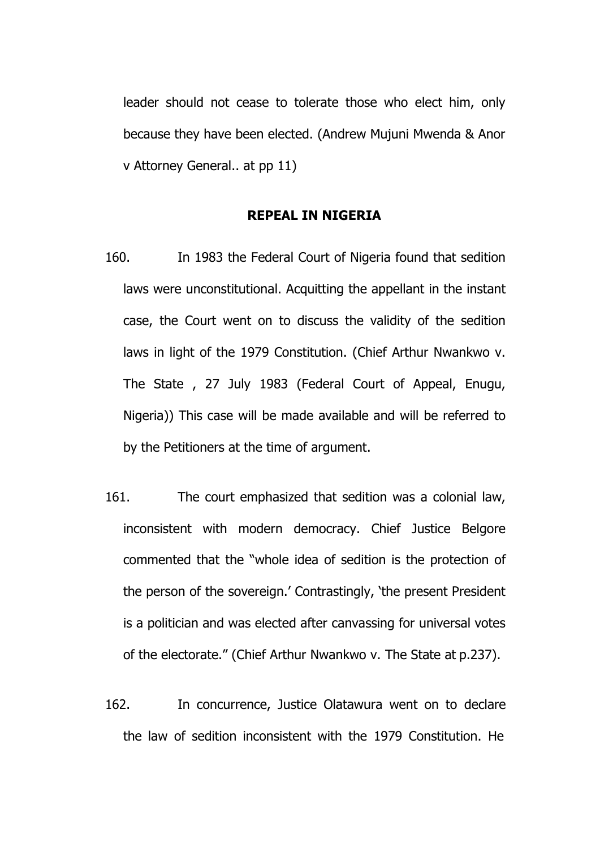leader should not cease to tolerate those who elect him, only because they have been elected. (Andrew Mujuni Mwenda & Anor v Attorney General.. at pp 11)

# **REPEAL IN NIGERIA**

- 160. In 1983 the Federal Court of Nigeria found that sedition laws were unconstitutional. Acquitting the appellant in the instant case, the Court went on to discuss the validity of the sedition laws in light of the 1979 Constitution. (Chief Arthur Nwankwo v. The State , 27 July 1983 (Federal Court of Appeal, Enugu, Nigeria)) This case will be made available and will be referred to by the Petitioners at the time of argument.
- 161. The court emphasized that sedition was a colonial law, inconsistent with modern democracy. Chief Justice Belgore commented that the "whole idea of sedition is the protection of the person of the sovereign.' Contrastingly, 'the present President is a politician and was elected after canvassing for universal votes of the electorate." (Chief Arthur Nwankwo v. The State at p.237).
- 162. In concurrence, Justice Olatawura went on to declare the law of sedition inconsistent with the 1979 Constitution. He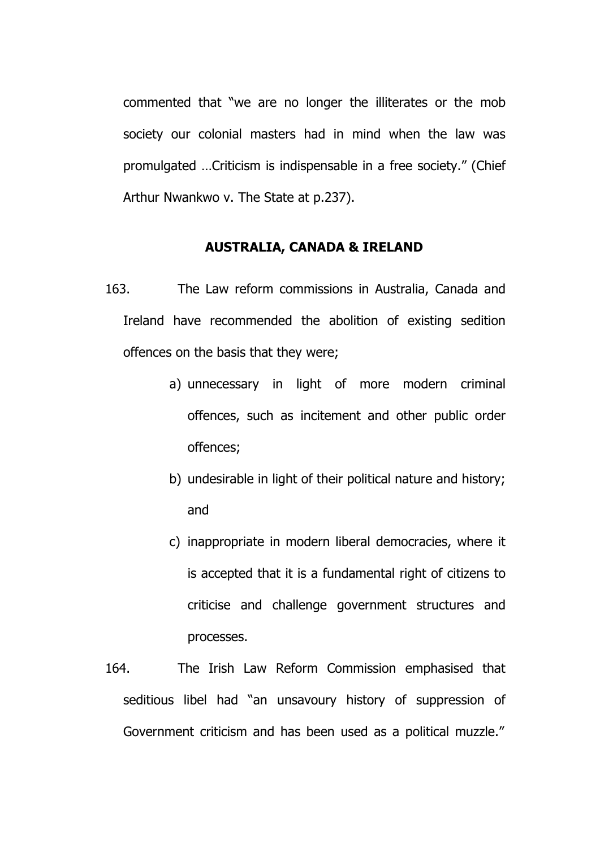commented that "we are no longer the illiterates or the mob society our colonial masters had in mind when the law was promulgated …Criticism is indispensable in a free society." (Chief Arthur Nwankwo v. The State at p.237).

# **AUSTRALIA, CANADA & IRELAND**

- 163. The Law reform commissions in Australia, Canada and Ireland have recommended the abolition of existing sedition offences on the basis that they were;
	- a) unnecessary in light of more modern criminal offences, such as incitement and other public order offences;
	- b) undesirable in light of their political nature and history; and
	- c) inappropriate in modern liberal democracies, where it is accepted that it is a fundamental right of citizens to criticise and challenge government structures and processes.
- 164. The Irish Law Reform Commission emphasised that seditious libel had "an unsavoury history of suppression of Government criticism and has been used as a political muzzle."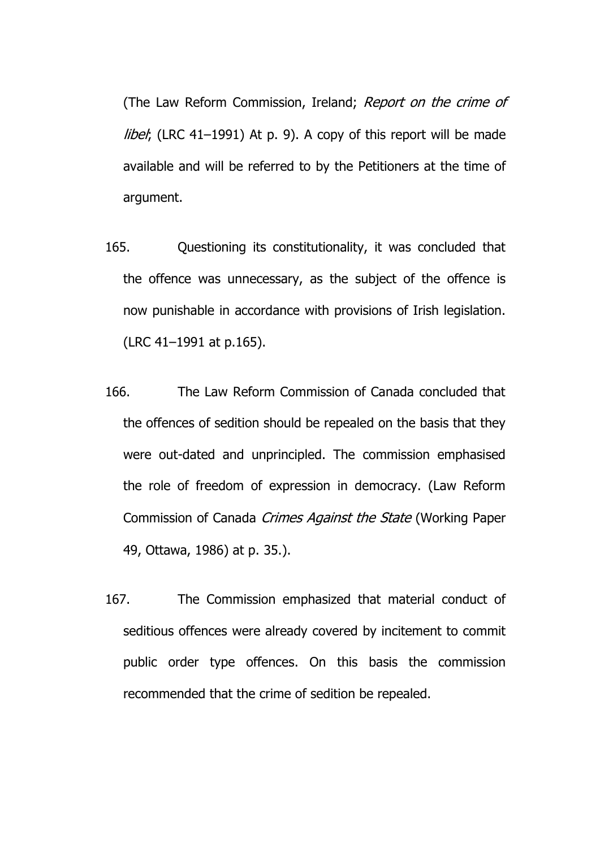(The Law Reform Commission, Ireland; *Report on the crime of libel*; (LRC 41-1991) At p. 9). A copy of this report will be made available and will be referred to by the Petitioners at the time of argument.

- 165. Questioning its constitutionality, it was concluded that the offence was unnecessary, as the subject of the offence is now punishable in accordance with provisions of Irish legislation. (LRC 41–1991 at p.165).
- 166. The Law Reform Commission of Canada concluded that the offences of sedition should be repealed on the basis that they were out-dated and unprincipled. The commission emphasised the role of freedom of expression in democracy. (Law Reform Commission of Canada Crimes Against the State (Working Paper 49, Ottawa, 1986) at p. 35.).
- 167. The Commission emphasized that material conduct of seditious offences were already covered by incitement to commit public order type offences. On this basis the commission recommended that the crime of sedition be repealed.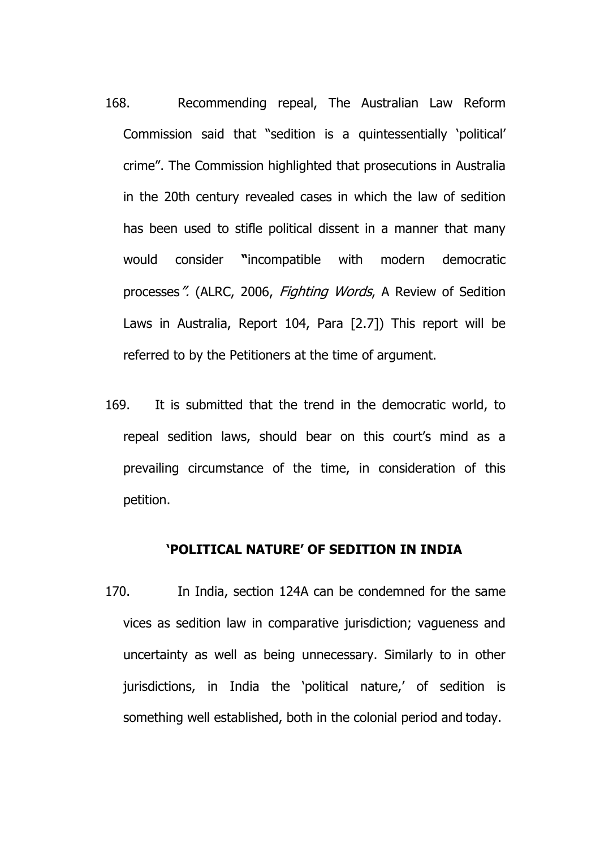- 168. Recommending repeal, The Australian Law Reform Commission said that "sedition is a quintessentially 'political' crime". The Commission highlighted that prosecutions in Australia in the 20th century revealed cases in which the law of sedition has been used to stifle political dissent in a manner that many would consider **"**incompatible with modern democratic processes". (ALRC, 2006, Fighting Words, A Review of Sedition Laws in Australia, Report 104, Para [2.7]) This report will be referred to by the Petitioners at the time of argument.
- 169. It is submitted that the trend in the democratic world, to repeal sedition laws, should bear on this court's mind as a prevailing circumstance of the time, in consideration of this petition.

#### **'POLITICAL NATURE' OF SEDITION IN INDIA**

170. In India, section 124A can be condemned for the same vices as sedition law in comparative jurisdiction; vagueness and uncertainty as well as being unnecessary. Similarly to in other jurisdictions, in India the 'political nature,' of sedition is something well established, both in the colonial period and today.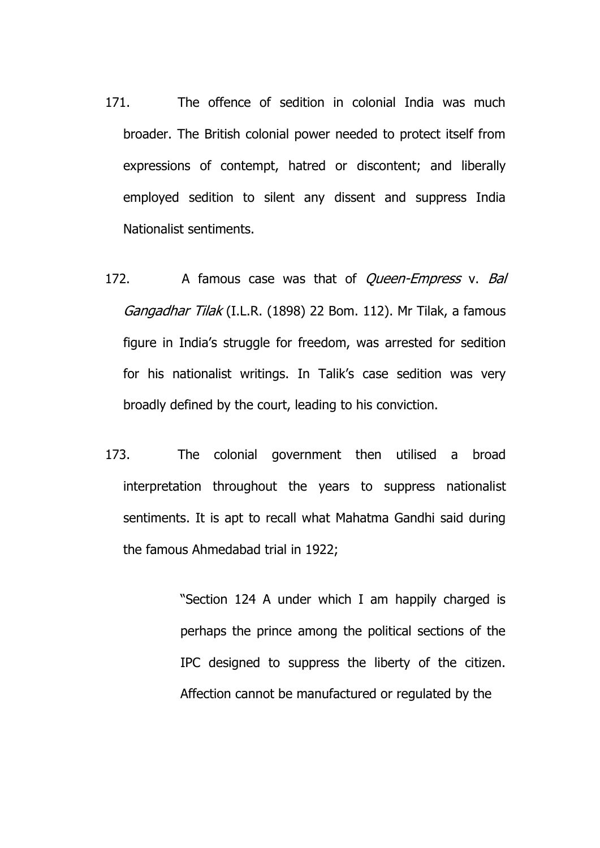- 171. The offence of sedition in colonial India was much broader. The British colonial power needed to protect itself from expressions of contempt, hatred or discontent; and liberally employed sedition to silent any dissent and suppress India Nationalist sentiments.
- 172. A famous case was that of *Queen-Empress* v. Bal Gangadhar Tilak (I.L.R. (1898) 22 Bom. 112). Mr Tilak, a famous figure in India's struggle for freedom, was arrested for sedition for his nationalist writings. In Talik's case sedition was very broadly defined by the court, leading to his conviction.
- 173. The colonial government then utilised a broad interpretation throughout the years to suppress nationalist sentiments. It is apt to recall what Mahatma Gandhi said during the famous Ahmedabad trial in 1922;

"Section 124 A under which I am happily charged is perhaps the prince among the political sections of the IPC designed to suppress the liberty of the citizen. Affection cannot be manufactured or regulated by the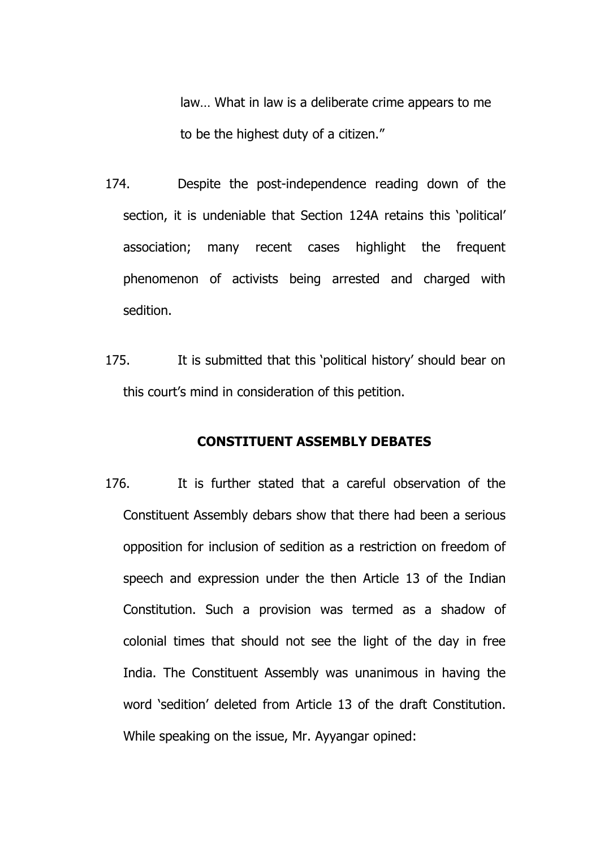law… What in law is a deliberate crime appears to me to be the highest duty of a citizen."

- 174. Despite the post-independence reading down of the section, it is undeniable that Section 124A retains this 'political' association; many recent cases highlight the frequent phenomenon of activists being arrested and charged with sedition.
- 175. It is submitted that this 'political history' should bear on this court's mind in consideration of this petition.

### **CONSTITUENT ASSEMBLY DEBATES**

176. It is further stated that a careful observation of the Constituent Assembly debars show that there had been a serious opposition for inclusion of sedition as a restriction on freedom of speech and expression under the then Article 13 of the Indian Constitution. Such a provision was termed as a shadow of colonial times that should not see the light of the day in free India. The Constituent Assembly was unanimous in having the word 'sedition' deleted from Article 13 of the draft Constitution. While speaking on the issue, Mr. Ayyangar opined: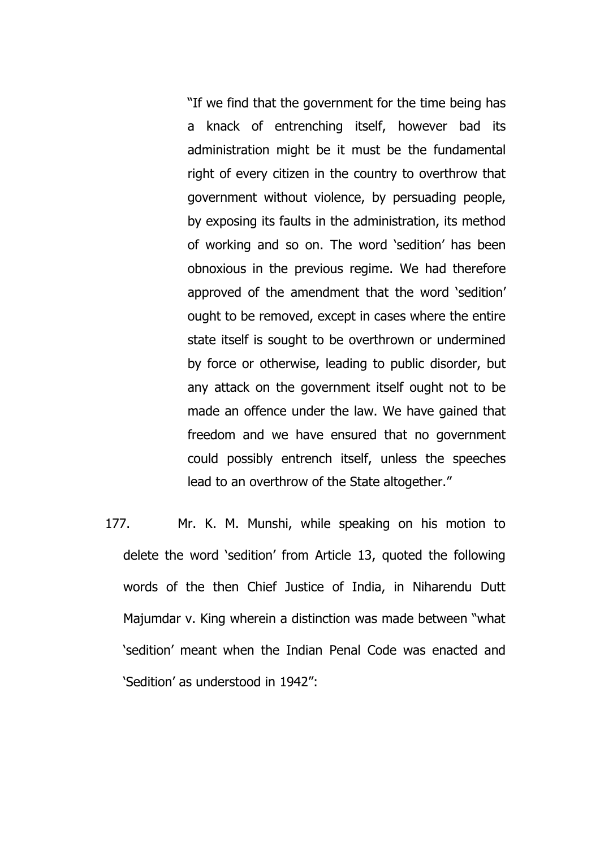"If we find that the government for the time being has a knack of entrenching itself, however bad its administration might be it must be the fundamental right of every citizen in the country to overthrow that government without violence, by persuading people, by exposing its faults in the administration, its method of working and so on. The word 'sedition' has been obnoxious in the previous regime. We had therefore approved of the amendment that the word 'sedition' ought to be removed, except in cases where the entire state itself is sought to be overthrown or undermined by force or otherwise, leading to public disorder, but any attack on the government itself ought not to be made an offence under the law. We have gained that freedom and we have ensured that no government could possibly entrench itself, unless the speeches lead to an overthrow of the State altogether."

177. Mr. K. M. Munshi, while speaking on his motion to delete the word 'sedition' from Article 13, quoted the following words of the then Chief Justice of India, in Niharendu Dutt Majumdar v. King wherein a distinction was made between "what 'sedition' meant when the Indian Penal Code was enacted and 'Sedition' as understood in 1942":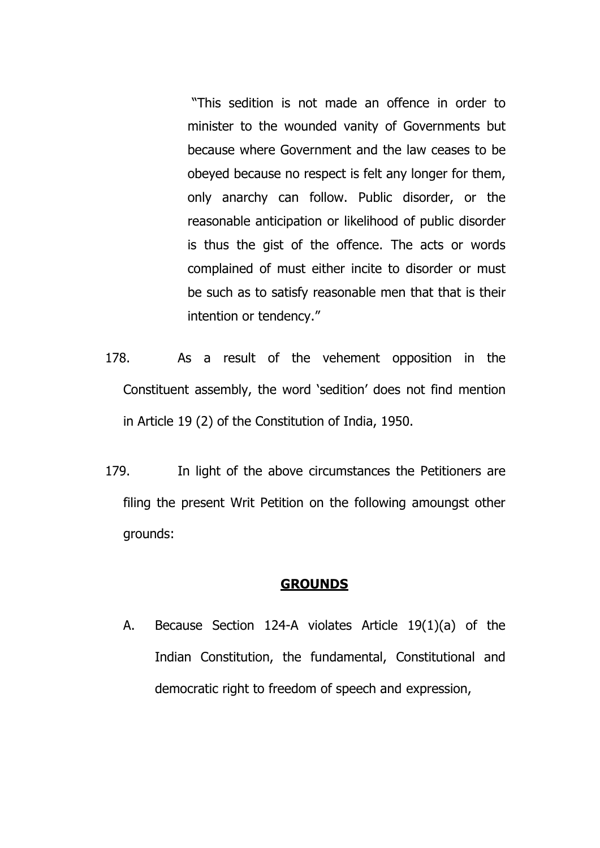"This sedition is not made an offence in order to minister to the wounded vanity of Governments but because where Government and the law ceases to be obeyed because no respect is felt any longer for them, only anarchy can follow. Public disorder, or the reasonable anticipation or likelihood of public disorder is thus the gist of the offence. The acts or words complained of must either incite to disorder or must be such as to satisfy reasonable men that that is their intention or tendency."

- 178. As a result of the vehement opposition in the Constituent assembly, the word 'sedition' does not find mention in Article 19 (2) of the Constitution of India, 1950.
- 179. In light of the above circumstances the Petitioners are filing the present Writ Petition on the following amoungst other grounds:

# **GROUNDS**

A. Because Section 124-A violates Article 19(1)(a) of the Indian Constitution, the fundamental, Constitutional and democratic right to freedom of speech and expression,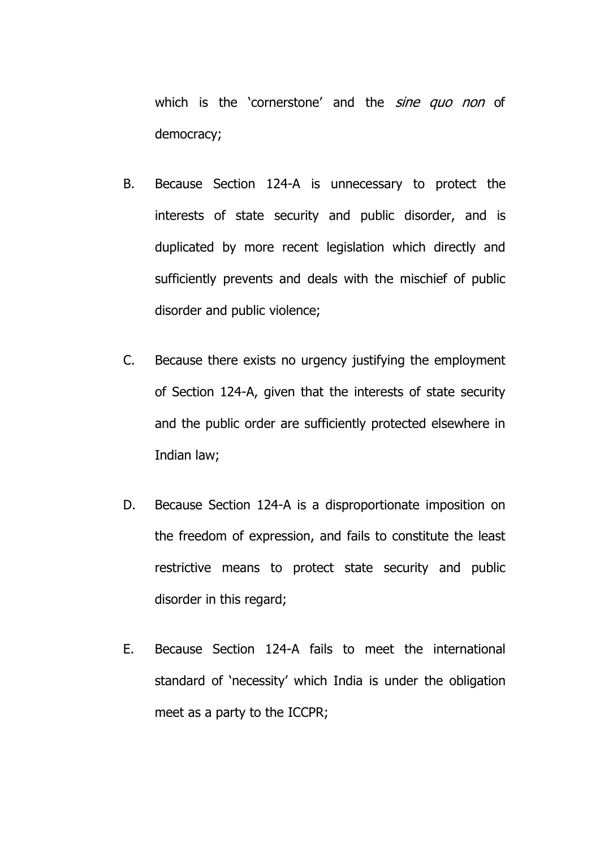which is the 'cornerstone' and the *sine quo non* of democracy;

- B. Because Section 124-A is unnecessary to protect the interests of state security and public disorder, and is duplicated by more recent legislation which directly and sufficiently prevents and deals with the mischief of public disorder and public violence;
- C. Because there exists no urgency justifying the employment of Section 124-A, given that the interests of state security and the public order are sufficiently protected elsewhere in Indian law;
- D. Because Section 124-A is a disproportionate imposition on the freedom of expression, and fails to constitute the least restrictive means to protect state security and public disorder in this regard;
- E. Because Section 124-A fails to meet the international standard of 'necessity' which India is under the obligation meet as a party to the ICCPR;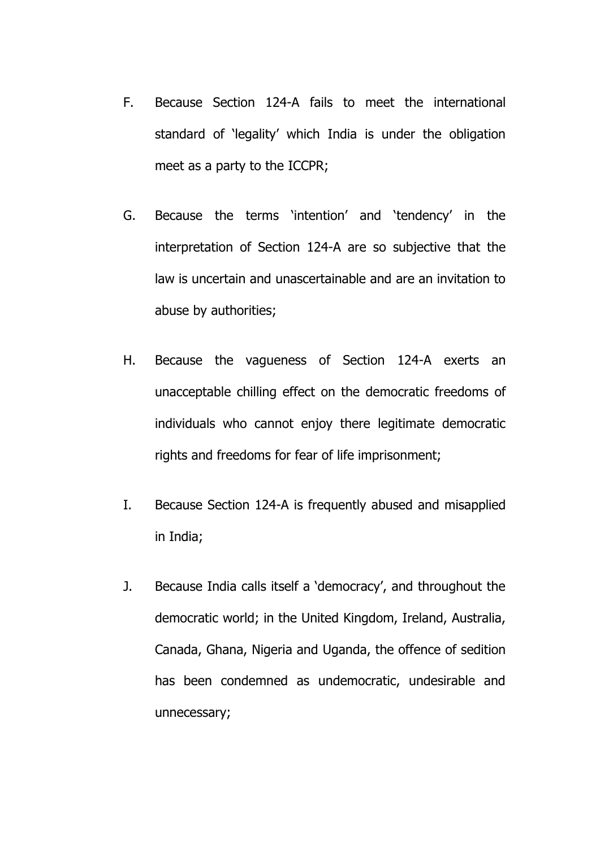- F. Because Section 124-A fails to meet the international standard of 'legality' which India is under the obligation meet as a party to the ICCPR;
- G. Because the terms 'intention' and 'tendency' in the interpretation of Section 124-A are so subjective that the law is uncertain and unascertainable and are an invitation to abuse by authorities;
- H. Because the vagueness of Section 124-A exerts an unacceptable chilling effect on the democratic freedoms of individuals who cannot enjoy there legitimate democratic rights and freedoms for fear of life imprisonment;
- I. Because Section 124-A is frequently abused and misapplied in India;
- J. Because India calls itself a 'democracy', and throughout the democratic world; in the United Kingdom, Ireland, Australia, Canada, Ghana, Nigeria and Uganda, the offence of sedition has been condemned as undemocratic, undesirable and unnecessary;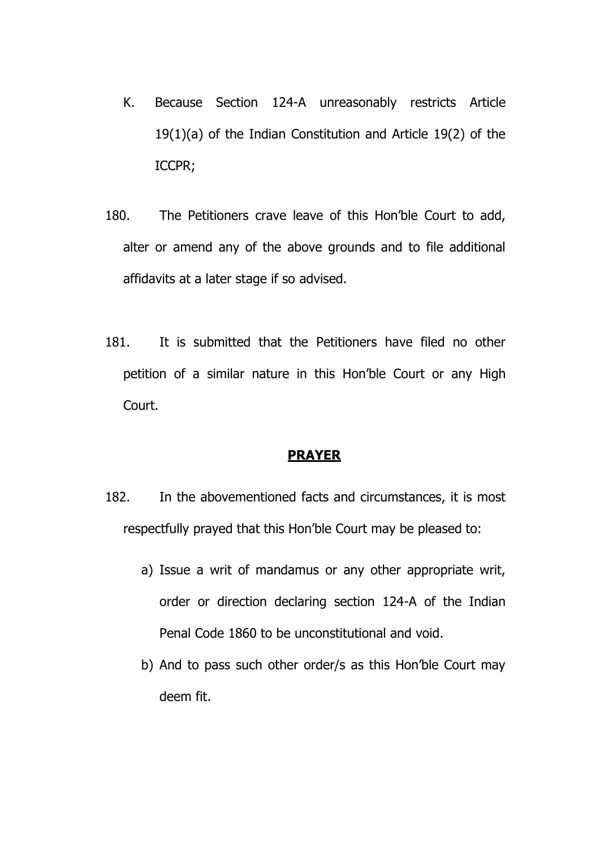- K. Because Section 124-A unreasonably restricts Article 19(1)(a) of the Indian Constitution and Article 19(2) of the ICCPR;
- 180. The Petitioners crave leave of this Hon'ble Court to add, alter or amend any of the above grounds and to file additional affidavits at a later stage if so advised.
- 181. It is submitted that the Petitioners have filed no other petition of a similar nature in this Hon'ble Court or any High Court.

# **PRAYER**

- 182. In the abovementioned facts and circumstances, it is most respectfully prayed that this Hon'ble Court may be pleased to:
	- a) Issue a writ of mandamus or any other appropriate writ, order or direction declaring section 124-A of the Indian Penal Code 1860 to be unconstitutional and void.
	- b) And to pass such other order/s as this Hon'ble Court may deem fit.